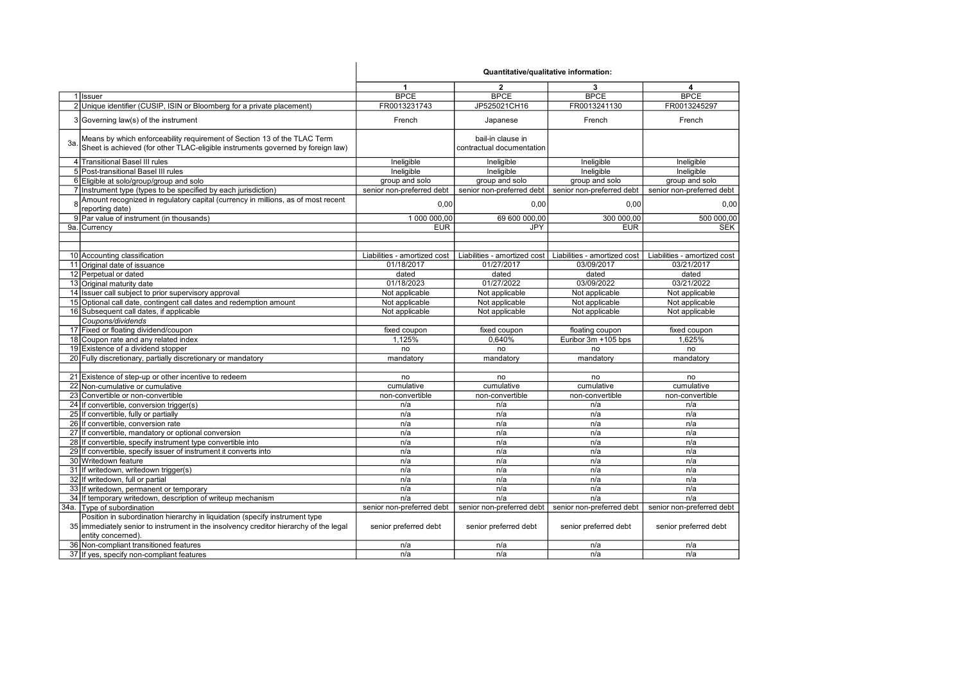|    |                                                                                                                                                             | Quantitative/qualitative information: |                                                |                              |                              |
|----|-------------------------------------------------------------------------------------------------------------------------------------------------------------|---------------------------------------|------------------------------------------------|------------------------------|------------------------------|
|    |                                                                                                                                                             | 1                                     | $\overline{2}$                                 | 3                            | 4                            |
|    | 1 Issuer                                                                                                                                                    | <b>BPCE</b>                           | <b>BPCE</b>                                    | <b>BPCE</b>                  | <b>BPCE</b>                  |
|    | 2 Unique identifier (CUSIP, ISIN or Bloomberg for a private placement)                                                                                      | FR0013231743                          | JP525021CH16                                   | FR0013241130                 | FR0013245297                 |
|    | 3 Governing law(s) of the instrument                                                                                                                        | French                                | Japanese                                       | French                       | French                       |
| 3a | Means by which enforceability requirement of Section 13 of the TLAC Term<br>Sheet is achieved (for other TLAC-eligible instruments governed by foreign law) |                                       | bail-in clause in<br>contractual documentation |                              |                              |
|    | 4 Transitional Basel III rules                                                                                                                              | Ineligible                            | Ineligible                                     | Ineligible                   | Ineligible                   |
|    | 5 Post-transitional Basel III rules                                                                                                                         | Ineligible                            | Ineligible                                     | Ineligible                   | Ineligible                   |
|    | 6 Eligible at solo/group/group and solo                                                                                                                     | group and solo                        | group and solo                                 | group and solo               | group and solo               |
|    | 7 Instrument type (types to be specified by each jurisdiction)                                                                                              | senior non-preferred debt             | senior non-preferred debt                      | senior non-preferred debt    | senior non-preferred debt    |
|    | Amount recognized in regulatory capital (currency in millions, as of most recent<br>reporting date)                                                         | 0,00                                  | 0,00                                           | 0,00                         | 0,00                         |
|    | 9 Par value of instrument (in thousands)                                                                                                                    | 1 000 000,00                          | 69 600 000,00                                  | 300 000,00                   | 500 000,00                   |
|    | 9a. Currency                                                                                                                                                | <b>EUR</b>                            | <b>JPY</b>                                     | <b>EUR</b>                   | <b>SEK</b>                   |
|    |                                                                                                                                                             |                                       |                                                |                              |                              |
|    | 10 Accounting classification                                                                                                                                | Liabilities - amortized cost          | Liabilities - amortized cost                   | Liabilities - amortized cost | Liabilities - amortized cost |
|    | 11 Original date of issuance                                                                                                                                | 01/18/2017                            | 01/27/2017                                     | 03/09/2017                   | 03/21/2017                   |
|    | 12 Perpetual or dated                                                                                                                                       | dated                                 | dated                                          | dated                        | dated                        |
|    | 13 Original maturity date                                                                                                                                   | 01/18/2023                            | 01/27/2022                                     | 03/09/2022                   | 03/21/2022                   |
|    | 14 Issuer call subject to prior supervisory approval                                                                                                        | Not applicable                        | Not applicable                                 | Not applicable               | Not applicable               |
|    | 15 Optional call date, contingent call dates and redemption amount                                                                                          | Not applicable                        | Not applicable                                 | Not applicable               | Not applicable               |
|    | 16 Subsequent call dates, if applicable                                                                                                                     | Not applicable                        | Not applicable                                 | Not applicable               | Not applicable               |
|    | Coupons/dividends                                                                                                                                           |                                       |                                                |                              |                              |
|    | 17 Fixed or floating dividend/coupon                                                                                                                        | fixed coupon                          | fixed coupon                                   | floating coupon              | fixed coupon                 |
|    | 18 Coupon rate and any related index                                                                                                                        | 1,125%                                | 0,640%                                         | Euribor 3m +105 bps          | 1,625%                       |
|    | 19 Existence of a dividend stopper                                                                                                                          | no                                    | no                                             | no                           | no                           |
|    | 20 Fully discretionary, partially discretionary or mandatory                                                                                                | mandatory                             | mandatory                                      | mandatory                    | mandatory                    |
|    |                                                                                                                                                             |                                       |                                                |                              |                              |
|    | 21 Existence of step-up or other incentive to redeem                                                                                                        | no                                    | no                                             | no                           | no                           |
|    | 22 Non-cumulative or cumulative                                                                                                                             | cumulative                            | cumulative                                     | cumulative                   | cumulative                   |
|    | 23 Convertible or non-convertible                                                                                                                           | non-convertible                       | non-convertible                                | non-convertible              | non-convertible              |
|    | 24 If convertible, conversion trigger(s)                                                                                                                    | n/a                                   | n/a                                            | n/a                          | n/a                          |
|    | 25 If convertible, fully or partially                                                                                                                       | n/a                                   | n/a                                            | n/a                          | n/a                          |
|    | 26 If convertible, conversion rate                                                                                                                          | n/a                                   | n/a                                            | n/a                          | n/a                          |
|    | 27 If convertible, mandatory or optional conversion                                                                                                         | n/a                                   | n/a                                            | n/a                          | n/a                          |
|    | 28 If convertible, specify instrument type convertible into                                                                                                 | n/a                                   | n/a                                            | n/a                          | n/a                          |
|    | 29 If convertible, specify issuer of instrument it converts into                                                                                            | n/a                                   | n/a                                            | n/a                          | n/a                          |
|    | 30 Writedown feature                                                                                                                                        | n/a                                   | n/a                                            | n/a                          | n/a                          |
|    | 31 If writedown, writedown trigger(s)                                                                                                                       | n/a                                   | n/a                                            | n/a                          | n/a                          |
|    | 32 If writedown, full or partial                                                                                                                            | n/a                                   | n/a                                            | n/a                          | n/a                          |
|    | 33 If writedown, permanent or temporary                                                                                                                     | n/a                                   | n/a                                            | n/a                          | n/a                          |
|    | 34 If temporary writedown, description of writeup mechanism                                                                                                 | n/a                                   | n/a                                            | n/a                          | n/a                          |
|    | 34a. Type of subordination                                                                                                                                  | senior non-preferred debt             | senior non-preferred debt                      | senior non-preferred debt    | senior non-preferred debt    |
|    | Position in subordination hierarchy in liquidation (specify instrument type                                                                                 |                                       |                                                |                              |                              |
|    | 35 immediately senior to instrument in the insolvency creditor hierarchy of the legal                                                                       | senior preferred debt                 | senior preferred debt                          | senior preferred debt        | senior preferred debt        |
|    | entity concerned).                                                                                                                                          |                                       |                                                |                              |                              |
|    | 36 Non-compliant transitioned features                                                                                                                      | n/a                                   | n/a                                            | n/a                          | n/a                          |
|    | 37 If yes, specify non-compliant features                                                                                                                   | n/a                                   | n/a                                            | n/a                          | n/a                          |

 $\mathbf{I}$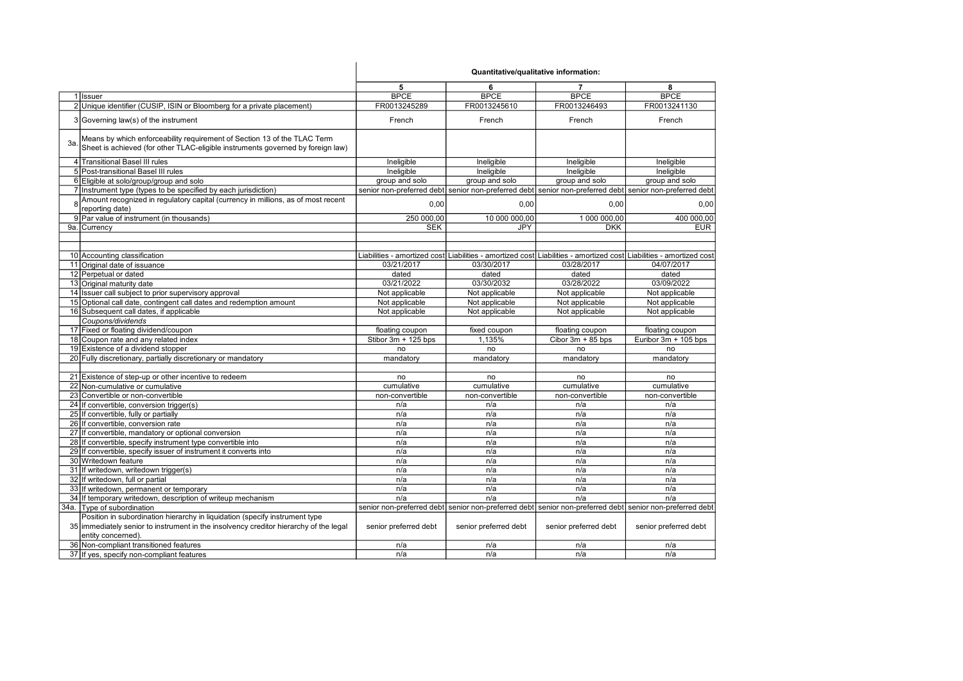|     |                                                                                                                                                                                            | 5                     | 6                                                                                                                   | $\overline{7}$        | 8                     |
|-----|--------------------------------------------------------------------------------------------------------------------------------------------------------------------------------------------|-----------------------|---------------------------------------------------------------------------------------------------------------------|-----------------------|-----------------------|
|     | 1 Issuer                                                                                                                                                                                   | <b>BPCE</b>           | <b>BPCE</b>                                                                                                         | <b>BPCE</b>           | <b>BPCE</b>           |
|     | 2 Unique identifier (CUSIP, ISIN or Bloomberg for a private placement)                                                                                                                     | FR0013245289          | FR0013245610                                                                                                        | FR0013246493          | FR0013241130          |
|     | 3 Governing law(s) of the instrument                                                                                                                                                       | French                | French                                                                                                              | French                | French                |
| За. | Means by which enforceability requirement of Section 13 of the TLAC Term<br>Sheet is achieved (for other TLAC-eligible instruments governed by foreign law)                                |                       |                                                                                                                     |                       |                       |
|     | 4 Transitional Basel III rules                                                                                                                                                             | Ineligible            | Ineligible                                                                                                          | Ineligible            | Ineligible            |
|     | 5 Post-transitional Basel III rules                                                                                                                                                        | Ineligible            | Ineligible                                                                                                          | Ineligible            | Ineligible            |
|     | 6 Eligible at solo/group/group and solo                                                                                                                                                    | group and solo        | group and solo                                                                                                      | group and solo        | group and solo        |
|     | 7 Instrument type (types to be specified by each jurisdiction)                                                                                                                             |                       | senior non-preferred debt  senior non-preferred debt  senior non-preferred debt  senior non-preferred debt          |                       |                       |
|     | Amount recognized in regulatory capital (currency in millions, as of most recent<br>reporting date)                                                                                        | 0,00                  | 0,00                                                                                                                | 0,00                  | 0,00                  |
|     | 9 Par value of instrument (in thousands)                                                                                                                                                   | 250 000,00            | 10 000 000,00                                                                                                       | 1 000 000,00          | 400 000,00            |
|     | 9a. Currency                                                                                                                                                                               | <b>SEK</b>            | <b>JPY</b>                                                                                                          | <b>DKK</b>            | <b>EUR</b>            |
|     |                                                                                                                                                                                            |                       |                                                                                                                     |                       |                       |
|     |                                                                                                                                                                                            |                       |                                                                                                                     |                       |                       |
|     | 10 Accounting classification                                                                                                                                                               |                       | Liabilities - amortized cost Liabilities - amortized cost Liabilities - amortized cost Liabilities - amortized cost |                       |                       |
|     | 11 Original date of issuance                                                                                                                                                               | 03/21/2017            | 03/30/2017                                                                                                          | 03/28/2017            | 04/07/2017            |
|     | 12 Perpetual or dated                                                                                                                                                                      | dated                 | dated                                                                                                               | dated                 | dated                 |
|     | 13 Original maturity date                                                                                                                                                                  | 03/21/2022            | 03/30/2032                                                                                                          | 03/28/2022            | 03/09/2022            |
|     | 14 Issuer call subject to prior supervisory approval                                                                                                                                       | Not applicable        | Not applicable                                                                                                      | Not applicable        | Not applicable        |
|     | 15 Optional call date, contingent call dates and redemption amount                                                                                                                         | Not applicable        | Not applicable                                                                                                      | Not applicable        | Not applicable        |
|     | 16 Subsequent call dates, if applicable                                                                                                                                                    | Not applicable        | Not applicable                                                                                                      | Not applicable        | Not applicable        |
|     | Coupons/dividends                                                                                                                                                                          |                       |                                                                                                                     |                       |                       |
|     | 17 Fixed or floating dividend/coupon                                                                                                                                                       | floating coupon       | fixed coupon                                                                                                        | floating coupon       | floating coupon       |
|     | 18 Coupon rate and any related index                                                                                                                                                       | Stibor 3m + 125 bps   | 1,135%                                                                                                              | Cibor $3m + 85$ bps   | Euribor 3m + 105 bps  |
|     | 19 Existence of a dividend stopper                                                                                                                                                         | no                    | no                                                                                                                  | no                    | no                    |
|     | 20 Fully discretionary, partially discretionary or mandatory                                                                                                                               | mandatory             | mandatory                                                                                                           | mandatory             | mandatory             |
|     |                                                                                                                                                                                            |                       |                                                                                                                     |                       |                       |
|     | 21 Existence of step-up or other incentive to redeem                                                                                                                                       | no                    | no                                                                                                                  | no                    | no                    |
|     | 22 Non-cumulative or cumulative                                                                                                                                                            | cumulative            | cumulative                                                                                                          | cumulative            | cumulative            |
|     | 23 Convertible or non-convertible                                                                                                                                                          | non-convertible       | non-convertible                                                                                                     | non-convertible       | non-convertible       |
|     | 24 If convertible, conversion trigger(s)                                                                                                                                                   | n/a                   | n/a                                                                                                                 | n/a                   | n/a                   |
|     | 25 If convertible, fully or partially                                                                                                                                                      | n/a                   | n/a                                                                                                                 | n/a                   | n/a                   |
|     | 26 If convertible, conversion rate                                                                                                                                                         | n/a                   | n/a                                                                                                                 | n/a                   | n/a                   |
|     | 27 If convertible, mandatory or optional conversion                                                                                                                                        | n/a                   | n/a                                                                                                                 | n/a                   | n/a                   |
|     | 28 If convertible, specify instrument type convertible into                                                                                                                                | n/a                   | n/a                                                                                                                 | n/a                   | n/a                   |
|     | 29 If convertible, specify issuer of instrument it converts into                                                                                                                           | n/a                   | n/a                                                                                                                 | n/a                   | n/a                   |
|     | 30 Writedown feature                                                                                                                                                                       | n/a                   | n/a                                                                                                                 | n/a                   | n/a                   |
|     | 31 If writedown, writedown trigger(s)                                                                                                                                                      | n/a                   | n/a                                                                                                                 | n/a                   | n/a                   |
|     | 32 If writedown, full or partial                                                                                                                                                           | n/a                   | n/a                                                                                                                 | n/a                   | n/a                   |
|     | 33 If writedown, permanent or temporary                                                                                                                                                    | n/a                   | n/a                                                                                                                 | n/a                   | n/a                   |
|     | 34 If temporary writedown, description of writeup mechanism                                                                                                                                | n/a                   | n/a                                                                                                                 | n/a                   | n/a                   |
|     | 34a. Type of subordination                                                                                                                                                                 |                       | senior non-preferred debt  senior non-preferred debt  senior non-preferred debt  senior non-preferred debt          |                       |                       |
|     | Position in subordination hierarchy in liquidation (specify instrument type<br>35 immediately senior to instrument in the insolvency creditor hierarchy of the legal<br>entity concerned). | senior preferred debt | senior preferred debt                                                                                               | senior preferred debt | senior preferred debt |
|     | 36 Non-compliant transitioned features                                                                                                                                                     | n/a                   | n/a                                                                                                                 | n/a                   | n/a                   |
|     | 37 If yes, specify non-compliant features                                                                                                                                                  | n/a                   | n/a                                                                                                                 | n/a                   | n/a                   |
|     |                                                                                                                                                                                            |                       |                                                                                                                     |                       |                       |

Quantitative/qualitative information: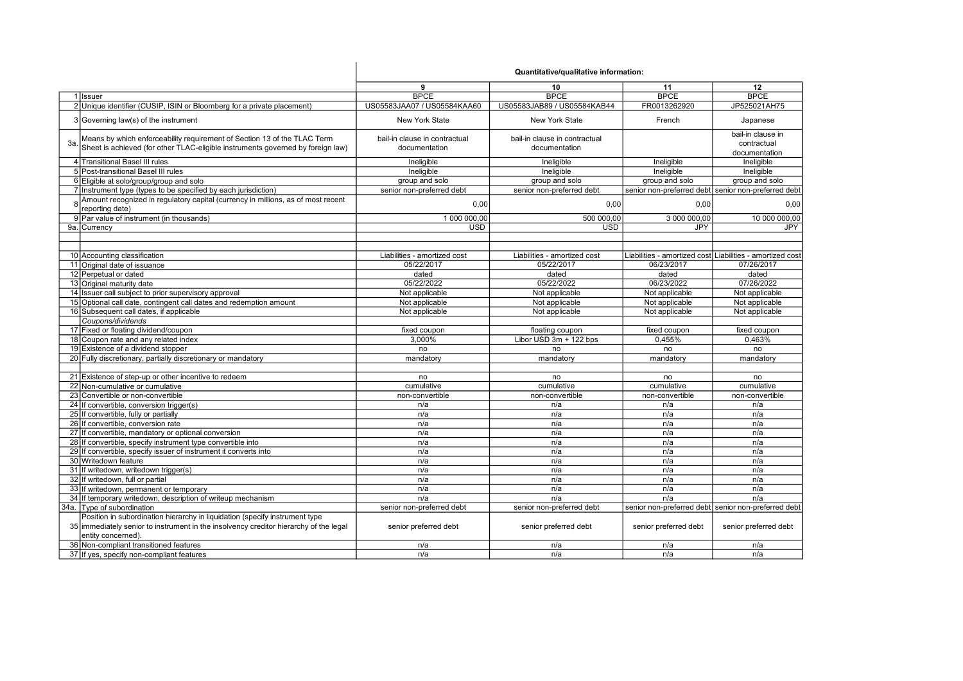| 9<br>11<br>10<br>12<br><b>BPCE</b><br><b>BPCE</b><br><b>BPCE</b><br><b>BPCE</b><br>1 Issuer<br>2 Unique identifier (CUSIP, ISIN or Bloomberg for a private placement)<br>US05583JAA07 / US05584KAA60<br>US05583JAB89 / US05584KAB44<br>FR0013262920<br>JP525021AH75<br>3 Governing law(s) of the instrument<br><b>New York State</b><br>New York State<br>French<br>Japanese<br>bail-in clause in<br>Means by which enforceability requirement of Section 13 of the TLAC Term<br>bail-in clause in contractual<br>bail-in clause in contractual<br>contractual<br>Зa.<br>Sheet is achieved (for other TLAC-eligible instruments governed by foreign law)<br>documentation<br>documentation<br>documentation<br>4 Transitional Basel III rules<br>Ineligible<br>Ineligible<br>Ineligible<br>Ineligible<br>5 Post-transitional Basel III rules<br>Ineligible<br>Ineligible<br>Ineligible<br>Ineligible<br>6 Eligible at solo/group/group and solo<br>group and solo<br>group and solo<br>group and solo<br>group and solo<br>7 Instrument type (types to be specified by each jurisdiction)<br>senior non-preferred debt<br>senior non-preferred debt senior non-preferred debt<br>senior non-preferred debt<br>Amount recognized in regulatory capital (currency in millions, as of most recent<br>$\mathsf{R}$<br>0,00<br>0,00<br>0,00<br>0,00<br>reporting date)<br>9 Par value of instrument (in thousands)<br>1 000 000,00<br>500 000,00<br>3 000 000,00<br>10 000 000,00<br>9a. Currency<br><b>USD</b><br><b>USD</b><br><b>JPY</b><br><b>JPY</b><br>Liabilities - amortized cost Liabilities - amortized cost<br>10 Accounting classification<br>Liabilities - amortized cost<br>Liabilities - amortized cost<br>11 Original date of issuance<br>05/22/2017<br>05/22/2017<br>06/23/2017<br>07/26/2017<br>12 Perpetual or dated<br>dated<br>dated<br>dated<br>dated<br>13 Original maturity date<br>05/22/2022<br>05/22/2022<br>07/26/2022<br>06/23/2022<br>14 Issuer call subject to prior supervisory approval<br>Not applicable<br>Not applicable<br>Not applicable<br>Not applicable<br>15 Optional call date, contingent call dates and redemption amount<br>Not applicable<br>Not applicable<br>Not applicable<br>Not applicable<br>16 Subsequent call dates, if applicable<br>Not applicable<br>Not applicable<br>Not applicable<br>Not applicable<br>Coupons/dividends<br>17 Fixed or floating dividend/coupon<br>fixed coupon<br>fixed coupon<br>fixed coupon<br>floating coupon<br>18 Coupon rate and any related index<br>3.000%<br>Libor USD 3m + 122 bps<br>0.455%<br>0.463%<br>19 Existence of a dividend stopper<br>no<br>no<br>no<br>no<br>20 Fully discretionary, partially discretionary or mandatory<br>mandatory<br>mandatory<br>mandatory<br>mandatory<br>21 Existence of step-up or other incentive to redeem<br>no<br>no<br>no<br>no<br>22 Non-cumulative or cumulative<br>cumulative<br>cumulative<br>cumulative<br>cumulative<br>23 Convertible or non-convertible<br>non-convertible<br>non-convertible<br>non-convertible<br>non-convertible<br>24 If convertible, conversion trigger(s)<br>n/a<br>n/a<br>n/a<br>n/a<br>25 If convertible, fully or partially<br>n/a<br>n/a<br>n/a<br>n/a<br>26 If convertible, conversion rate<br>n/a<br>n/a<br>n/a<br>n/a<br>27 If convertible, mandatory or optional conversion<br>n/a<br>n/a<br>n/a<br>n/a<br>28 If convertible, specify instrument type convertible into<br>n/a<br>n/a<br>n/a<br>n/a<br>29 If convertible, specify issuer of instrument it converts into<br>n/a<br>n/a<br>n/a<br>n/a<br>30 Writedown feature<br>n/a<br>n/a<br>n/a<br>n/a<br>31 If writedown, writedown trigger(s)<br>n/a<br>n/a<br>n/a<br>n/a<br>32 If writedown, full or partial<br>n/a<br>n/a<br>n/a<br>n/a<br>33 If writedown, permanent or temporary<br>n/a<br>n/a<br>n/a<br>n/a<br>34 If temporary writedown, description of writeup mechanism<br>n/a<br>n/a<br>n/a<br>n/a<br>34a. Type of subordination<br>senior non-preferred debt senior non-preferred debt<br>senior non-preferred debt<br>senior non-preferred debt<br>Position in subordination hierarchy in liquidation (specify instrument type<br>35 immediately senior to instrument in the insolvency creditor hierarchy of the legal<br>senior preferred debt<br>senior preferred debt<br>senior preferred debt<br>senior preferred debt<br>entity concerned).<br>36 Non-compliant transitioned features<br>n/a<br>n/a<br>n/a<br>n/a<br>37 If yes, specify non-compliant features<br>n/a<br>n/a<br>n/a<br>n/a |  | Quantitative/qualitative information: |  |  |  |
|------------------------------------------------------------------------------------------------------------------------------------------------------------------------------------------------------------------------------------------------------------------------------------------------------------------------------------------------------------------------------------------------------------------------------------------------------------------------------------------------------------------------------------------------------------------------------------------------------------------------------------------------------------------------------------------------------------------------------------------------------------------------------------------------------------------------------------------------------------------------------------------------------------------------------------------------------------------------------------------------------------------------------------------------------------------------------------------------------------------------------------------------------------------------------------------------------------------------------------------------------------------------------------------------------------------------------------------------------------------------------------------------------------------------------------------------------------------------------------------------------------------------------------------------------------------------------------------------------------------------------------------------------------------------------------------------------------------------------------------------------------------------------------------------------------------------------------------------------------------------------------------------------------------------------------------------------------------------------------------------------------------------------------------------------------------------------------------------------------------------------------------------------------------------------------------------------------------------------------------------------------------------------------------------------------------------------------------------------------------------------------------------------------------------------------------------------------------------------------------------------------------------------------------------------------------------------------------------------------------------------------------------------------------------------------------------------------------------------------------------------------------------------------------------------------------------------------------------------------------------------------------------------------------------------------------------------------------------------------------------------------------------------------------------------------------------------------------------------------------------------------------------------------------------------------------------------------------------------------------------------------------------------------------------------------------------------------------------------------------------------------------------------------------------------------------------------------------------------------------------------------------------------------------------------------------------------------------------------------------------------------------------------------------------------------------------------------------------------------------------------------------------------------------------------------------------------------------------------------------------------------------------------------------------------------------------------------------------------------------------------------------------------------------------------------------------------------------------------------------------------------------------------------------------------------------------------------------------------------------------------------------------------------------------------------------------------------------------------------------------------------------------------------------------------------------------------------------------------------------------------------------------------------|--|---------------------------------------|--|--|--|
|                                                                                                                                                                                                                                                                                                                                                                                                                                                                                                                                                                                                                                                                                                                                                                                                                                                                                                                                                                                                                                                                                                                                                                                                                                                                                                                                                                                                                                                                                                                                                                                                                                                                                                                                                                                                                                                                                                                                                                                                                                                                                                                                                                                                                                                                                                                                                                                                                                                                                                                                                                                                                                                                                                                                                                                                                                                                                                                                                                                                                                                                                                                                                                                                                                                                                                                                                                                                                                                                                                                                                                                                                                                                                                                                                                                                                                                                                                                                                                                                                                                                                                                                                                                                                                                                                                                                                                                                                                                                                                                                    |  |                                       |  |  |  |
|                                                                                                                                                                                                                                                                                                                                                                                                                                                                                                                                                                                                                                                                                                                                                                                                                                                                                                                                                                                                                                                                                                                                                                                                                                                                                                                                                                                                                                                                                                                                                                                                                                                                                                                                                                                                                                                                                                                                                                                                                                                                                                                                                                                                                                                                                                                                                                                                                                                                                                                                                                                                                                                                                                                                                                                                                                                                                                                                                                                                                                                                                                                                                                                                                                                                                                                                                                                                                                                                                                                                                                                                                                                                                                                                                                                                                                                                                                                                                                                                                                                                                                                                                                                                                                                                                                                                                                                                                                                                                                                                    |  |                                       |  |  |  |
|                                                                                                                                                                                                                                                                                                                                                                                                                                                                                                                                                                                                                                                                                                                                                                                                                                                                                                                                                                                                                                                                                                                                                                                                                                                                                                                                                                                                                                                                                                                                                                                                                                                                                                                                                                                                                                                                                                                                                                                                                                                                                                                                                                                                                                                                                                                                                                                                                                                                                                                                                                                                                                                                                                                                                                                                                                                                                                                                                                                                                                                                                                                                                                                                                                                                                                                                                                                                                                                                                                                                                                                                                                                                                                                                                                                                                                                                                                                                                                                                                                                                                                                                                                                                                                                                                                                                                                                                                                                                                                                                    |  |                                       |  |  |  |
|                                                                                                                                                                                                                                                                                                                                                                                                                                                                                                                                                                                                                                                                                                                                                                                                                                                                                                                                                                                                                                                                                                                                                                                                                                                                                                                                                                                                                                                                                                                                                                                                                                                                                                                                                                                                                                                                                                                                                                                                                                                                                                                                                                                                                                                                                                                                                                                                                                                                                                                                                                                                                                                                                                                                                                                                                                                                                                                                                                                                                                                                                                                                                                                                                                                                                                                                                                                                                                                                                                                                                                                                                                                                                                                                                                                                                                                                                                                                                                                                                                                                                                                                                                                                                                                                                                                                                                                                                                                                                                                                    |  |                                       |  |  |  |
|                                                                                                                                                                                                                                                                                                                                                                                                                                                                                                                                                                                                                                                                                                                                                                                                                                                                                                                                                                                                                                                                                                                                                                                                                                                                                                                                                                                                                                                                                                                                                                                                                                                                                                                                                                                                                                                                                                                                                                                                                                                                                                                                                                                                                                                                                                                                                                                                                                                                                                                                                                                                                                                                                                                                                                                                                                                                                                                                                                                                                                                                                                                                                                                                                                                                                                                                                                                                                                                                                                                                                                                                                                                                                                                                                                                                                                                                                                                                                                                                                                                                                                                                                                                                                                                                                                                                                                                                                                                                                                                                    |  |                                       |  |  |  |
|                                                                                                                                                                                                                                                                                                                                                                                                                                                                                                                                                                                                                                                                                                                                                                                                                                                                                                                                                                                                                                                                                                                                                                                                                                                                                                                                                                                                                                                                                                                                                                                                                                                                                                                                                                                                                                                                                                                                                                                                                                                                                                                                                                                                                                                                                                                                                                                                                                                                                                                                                                                                                                                                                                                                                                                                                                                                                                                                                                                                                                                                                                                                                                                                                                                                                                                                                                                                                                                                                                                                                                                                                                                                                                                                                                                                                                                                                                                                                                                                                                                                                                                                                                                                                                                                                                                                                                                                                                                                                                                                    |  |                                       |  |  |  |
|                                                                                                                                                                                                                                                                                                                                                                                                                                                                                                                                                                                                                                                                                                                                                                                                                                                                                                                                                                                                                                                                                                                                                                                                                                                                                                                                                                                                                                                                                                                                                                                                                                                                                                                                                                                                                                                                                                                                                                                                                                                                                                                                                                                                                                                                                                                                                                                                                                                                                                                                                                                                                                                                                                                                                                                                                                                                                                                                                                                                                                                                                                                                                                                                                                                                                                                                                                                                                                                                                                                                                                                                                                                                                                                                                                                                                                                                                                                                                                                                                                                                                                                                                                                                                                                                                                                                                                                                                                                                                                                                    |  |                                       |  |  |  |
|                                                                                                                                                                                                                                                                                                                                                                                                                                                                                                                                                                                                                                                                                                                                                                                                                                                                                                                                                                                                                                                                                                                                                                                                                                                                                                                                                                                                                                                                                                                                                                                                                                                                                                                                                                                                                                                                                                                                                                                                                                                                                                                                                                                                                                                                                                                                                                                                                                                                                                                                                                                                                                                                                                                                                                                                                                                                                                                                                                                                                                                                                                                                                                                                                                                                                                                                                                                                                                                                                                                                                                                                                                                                                                                                                                                                                                                                                                                                                                                                                                                                                                                                                                                                                                                                                                                                                                                                                                                                                                                                    |  |                                       |  |  |  |
|                                                                                                                                                                                                                                                                                                                                                                                                                                                                                                                                                                                                                                                                                                                                                                                                                                                                                                                                                                                                                                                                                                                                                                                                                                                                                                                                                                                                                                                                                                                                                                                                                                                                                                                                                                                                                                                                                                                                                                                                                                                                                                                                                                                                                                                                                                                                                                                                                                                                                                                                                                                                                                                                                                                                                                                                                                                                                                                                                                                                                                                                                                                                                                                                                                                                                                                                                                                                                                                                                                                                                                                                                                                                                                                                                                                                                                                                                                                                                                                                                                                                                                                                                                                                                                                                                                                                                                                                                                                                                                                                    |  |                                       |  |  |  |
|                                                                                                                                                                                                                                                                                                                                                                                                                                                                                                                                                                                                                                                                                                                                                                                                                                                                                                                                                                                                                                                                                                                                                                                                                                                                                                                                                                                                                                                                                                                                                                                                                                                                                                                                                                                                                                                                                                                                                                                                                                                                                                                                                                                                                                                                                                                                                                                                                                                                                                                                                                                                                                                                                                                                                                                                                                                                                                                                                                                                                                                                                                                                                                                                                                                                                                                                                                                                                                                                                                                                                                                                                                                                                                                                                                                                                                                                                                                                                                                                                                                                                                                                                                                                                                                                                                                                                                                                                                                                                                                                    |  |                                       |  |  |  |
|                                                                                                                                                                                                                                                                                                                                                                                                                                                                                                                                                                                                                                                                                                                                                                                                                                                                                                                                                                                                                                                                                                                                                                                                                                                                                                                                                                                                                                                                                                                                                                                                                                                                                                                                                                                                                                                                                                                                                                                                                                                                                                                                                                                                                                                                                                                                                                                                                                                                                                                                                                                                                                                                                                                                                                                                                                                                                                                                                                                                                                                                                                                                                                                                                                                                                                                                                                                                                                                                                                                                                                                                                                                                                                                                                                                                                                                                                                                                                                                                                                                                                                                                                                                                                                                                                                                                                                                                                                                                                                                                    |  |                                       |  |  |  |
|                                                                                                                                                                                                                                                                                                                                                                                                                                                                                                                                                                                                                                                                                                                                                                                                                                                                                                                                                                                                                                                                                                                                                                                                                                                                                                                                                                                                                                                                                                                                                                                                                                                                                                                                                                                                                                                                                                                                                                                                                                                                                                                                                                                                                                                                                                                                                                                                                                                                                                                                                                                                                                                                                                                                                                                                                                                                                                                                                                                                                                                                                                                                                                                                                                                                                                                                                                                                                                                                                                                                                                                                                                                                                                                                                                                                                                                                                                                                                                                                                                                                                                                                                                                                                                                                                                                                                                                                                                                                                                                                    |  |                                       |  |  |  |
|                                                                                                                                                                                                                                                                                                                                                                                                                                                                                                                                                                                                                                                                                                                                                                                                                                                                                                                                                                                                                                                                                                                                                                                                                                                                                                                                                                                                                                                                                                                                                                                                                                                                                                                                                                                                                                                                                                                                                                                                                                                                                                                                                                                                                                                                                                                                                                                                                                                                                                                                                                                                                                                                                                                                                                                                                                                                                                                                                                                                                                                                                                                                                                                                                                                                                                                                                                                                                                                                                                                                                                                                                                                                                                                                                                                                                                                                                                                                                                                                                                                                                                                                                                                                                                                                                                                                                                                                                                                                                                                                    |  |                                       |  |  |  |
|                                                                                                                                                                                                                                                                                                                                                                                                                                                                                                                                                                                                                                                                                                                                                                                                                                                                                                                                                                                                                                                                                                                                                                                                                                                                                                                                                                                                                                                                                                                                                                                                                                                                                                                                                                                                                                                                                                                                                                                                                                                                                                                                                                                                                                                                                                                                                                                                                                                                                                                                                                                                                                                                                                                                                                                                                                                                                                                                                                                                                                                                                                                                                                                                                                                                                                                                                                                                                                                                                                                                                                                                                                                                                                                                                                                                                                                                                                                                                                                                                                                                                                                                                                                                                                                                                                                                                                                                                                                                                                                                    |  |                                       |  |  |  |
|                                                                                                                                                                                                                                                                                                                                                                                                                                                                                                                                                                                                                                                                                                                                                                                                                                                                                                                                                                                                                                                                                                                                                                                                                                                                                                                                                                                                                                                                                                                                                                                                                                                                                                                                                                                                                                                                                                                                                                                                                                                                                                                                                                                                                                                                                                                                                                                                                                                                                                                                                                                                                                                                                                                                                                                                                                                                                                                                                                                                                                                                                                                                                                                                                                                                                                                                                                                                                                                                                                                                                                                                                                                                                                                                                                                                                                                                                                                                                                                                                                                                                                                                                                                                                                                                                                                                                                                                                                                                                                                                    |  |                                       |  |  |  |
|                                                                                                                                                                                                                                                                                                                                                                                                                                                                                                                                                                                                                                                                                                                                                                                                                                                                                                                                                                                                                                                                                                                                                                                                                                                                                                                                                                                                                                                                                                                                                                                                                                                                                                                                                                                                                                                                                                                                                                                                                                                                                                                                                                                                                                                                                                                                                                                                                                                                                                                                                                                                                                                                                                                                                                                                                                                                                                                                                                                                                                                                                                                                                                                                                                                                                                                                                                                                                                                                                                                                                                                                                                                                                                                                                                                                                                                                                                                                                                                                                                                                                                                                                                                                                                                                                                                                                                                                                                                                                                                                    |  |                                       |  |  |  |
|                                                                                                                                                                                                                                                                                                                                                                                                                                                                                                                                                                                                                                                                                                                                                                                                                                                                                                                                                                                                                                                                                                                                                                                                                                                                                                                                                                                                                                                                                                                                                                                                                                                                                                                                                                                                                                                                                                                                                                                                                                                                                                                                                                                                                                                                                                                                                                                                                                                                                                                                                                                                                                                                                                                                                                                                                                                                                                                                                                                                                                                                                                                                                                                                                                                                                                                                                                                                                                                                                                                                                                                                                                                                                                                                                                                                                                                                                                                                                                                                                                                                                                                                                                                                                                                                                                                                                                                                                                                                                                                                    |  |                                       |  |  |  |
|                                                                                                                                                                                                                                                                                                                                                                                                                                                                                                                                                                                                                                                                                                                                                                                                                                                                                                                                                                                                                                                                                                                                                                                                                                                                                                                                                                                                                                                                                                                                                                                                                                                                                                                                                                                                                                                                                                                                                                                                                                                                                                                                                                                                                                                                                                                                                                                                                                                                                                                                                                                                                                                                                                                                                                                                                                                                                                                                                                                                                                                                                                                                                                                                                                                                                                                                                                                                                                                                                                                                                                                                                                                                                                                                                                                                                                                                                                                                                                                                                                                                                                                                                                                                                                                                                                                                                                                                                                                                                                                                    |  |                                       |  |  |  |
|                                                                                                                                                                                                                                                                                                                                                                                                                                                                                                                                                                                                                                                                                                                                                                                                                                                                                                                                                                                                                                                                                                                                                                                                                                                                                                                                                                                                                                                                                                                                                                                                                                                                                                                                                                                                                                                                                                                                                                                                                                                                                                                                                                                                                                                                                                                                                                                                                                                                                                                                                                                                                                                                                                                                                                                                                                                                                                                                                                                                                                                                                                                                                                                                                                                                                                                                                                                                                                                                                                                                                                                                                                                                                                                                                                                                                                                                                                                                                                                                                                                                                                                                                                                                                                                                                                                                                                                                                                                                                                                                    |  |                                       |  |  |  |
|                                                                                                                                                                                                                                                                                                                                                                                                                                                                                                                                                                                                                                                                                                                                                                                                                                                                                                                                                                                                                                                                                                                                                                                                                                                                                                                                                                                                                                                                                                                                                                                                                                                                                                                                                                                                                                                                                                                                                                                                                                                                                                                                                                                                                                                                                                                                                                                                                                                                                                                                                                                                                                                                                                                                                                                                                                                                                                                                                                                                                                                                                                                                                                                                                                                                                                                                                                                                                                                                                                                                                                                                                                                                                                                                                                                                                                                                                                                                                                                                                                                                                                                                                                                                                                                                                                                                                                                                                                                                                                                                    |  |                                       |  |  |  |
|                                                                                                                                                                                                                                                                                                                                                                                                                                                                                                                                                                                                                                                                                                                                                                                                                                                                                                                                                                                                                                                                                                                                                                                                                                                                                                                                                                                                                                                                                                                                                                                                                                                                                                                                                                                                                                                                                                                                                                                                                                                                                                                                                                                                                                                                                                                                                                                                                                                                                                                                                                                                                                                                                                                                                                                                                                                                                                                                                                                                                                                                                                                                                                                                                                                                                                                                                                                                                                                                                                                                                                                                                                                                                                                                                                                                                                                                                                                                                                                                                                                                                                                                                                                                                                                                                                                                                                                                                                                                                                                                    |  |                                       |  |  |  |
|                                                                                                                                                                                                                                                                                                                                                                                                                                                                                                                                                                                                                                                                                                                                                                                                                                                                                                                                                                                                                                                                                                                                                                                                                                                                                                                                                                                                                                                                                                                                                                                                                                                                                                                                                                                                                                                                                                                                                                                                                                                                                                                                                                                                                                                                                                                                                                                                                                                                                                                                                                                                                                                                                                                                                                                                                                                                                                                                                                                                                                                                                                                                                                                                                                                                                                                                                                                                                                                                                                                                                                                                                                                                                                                                                                                                                                                                                                                                                                                                                                                                                                                                                                                                                                                                                                                                                                                                                                                                                                                                    |  |                                       |  |  |  |
|                                                                                                                                                                                                                                                                                                                                                                                                                                                                                                                                                                                                                                                                                                                                                                                                                                                                                                                                                                                                                                                                                                                                                                                                                                                                                                                                                                                                                                                                                                                                                                                                                                                                                                                                                                                                                                                                                                                                                                                                                                                                                                                                                                                                                                                                                                                                                                                                                                                                                                                                                                                                                                                                                                                                                                                                                                                                                                                                                                                                                                                                                                                                                                                                                                                                                                                                                                                                                                                                                                                                                                                                                                                                                                                                                                                                                                                                                                                                                                                                                                                                                                                                                                                                                                                                                                                                                                                                                                                                                                                                    |  |                                       |  |  |  |
|                                                                                                                                                                                                                                                                                                                                                                                                                                                                                                                                                                                                                                                                                                                                                                                                                                                                                                                                                                                                                                                                                                                                                                                                                                                                                                                                                                                                                                                                                                                                                                                                                                                                                                                                                                                                                                                                                                                                                                                                                                                                                                                                                                                                                                                                                                                                                                                                                                                                                                                                                                                                                                                                                                                                                                                                                                                                                                                                                                                                                                                                                                                                                                                                                                                                                                                                                                                                                                                                                                                                                                                                                                                                                                                                                                                                                                                                                                                                                                                                                                                                                                                                                                                                                                                                                                                                                                                                                                                                                                                                    |  |                                       |  |  |  |
|                                                                                                                                                                                                                                                                                                                                                                                                                                                                                                                                                                                                                                                                                                                                                                                                                                                                                                                                                                                                                                                                                                                                                                                                                                                                                                                                                                                                                                                                                                                                                                                                                                                                                                                                                                                                                                                                                                                                                                                                                                                                                                                                                                                                                                                                                                                                                                                                                                                                                                                                                                                                                                                                                                                                                                                                                                                                                                                                                                                                                                                                                                                                                                                                                                                                                                                                                                                                                                                                                                                                                                                                                                                                                                                                                                                                                                                                                                                                                                                                                                                                                                                                                                                                                                                                                                                                                                                                                                                                                                                                    |  |                                       |  |  |  |
|                                                                                                                                                                                                                                                                                                                                                                                                                                                                                                                                                                                                                                                                                                                                                                                                                                                                                                                                                                                                                                                                                                                                                                                                                                                                                                                                                                                                                                                                                                                                                                                                                                                                                                                                                                                                                                                                                                                                                                                                                                                                                                                                                                                                                                                                                                                                                                                                                                                                                                                                                                                                                                                                                                                                                                                                                                                                                                                                                                                                                                                                                                                                                                                                                                                                                                                                                                                                                                                                                                                                                                                                                                                                                                                                                                                                                                                                                                                                                                                                                                                                                                                                                                                                                                                                                                                                                                                                                                                                                                                                    |  |                                       |  |  |  |
|                                                                                                                                                                                                                                                                                                                                                                                                                                                                                                                                                                                                                                                                                                                                                                                                                                                                                                                                                                                                                                                                                                                                                                                                                                                                                                                                                                                                                                                                                                                                                                                                                                                                                                                                                                                                                                                                                                                                                                                                                                                                                                                                                                                                                                                                                                                                                                                                                                                                                                                                                                                                                                                                                                                                                                                                                                                                                                                                                                                                                                                                                                                                                                                                                                                                                                                                                                                                                                                                                                                                                                                                                                                                                                                                                                                                                                                                                                                                                                                                                                                                                                                                                                                                                                                                                                                                                                                                                                                                                                                                    |  |                                       |  |  |  |
|                                                                                                                                                                                                                                                                                                                                                                                                                                                                                                                                                                                                                                                                                                                                                                                                                                                                                                                                                                                                                                                                                                                                                                                                                                                                                                                                                                                                                                                                                                                                                                                                                                                                                                                                                                                                                                                                                                                                                                                                                                                                                                                                                                                                                                                                                                                                                                                                                                                                                                                                                                                                                                                                                                                                                                                                                                                                                                                                                                                                                                                                                                                                                                                                                                                                                                                                                                                                                                                                                                                                                                                                                                                                                                                                                                                                                                                                                                                                                                                                                                                                                                                                                                                                                                                                                                                                                                                                                                                                                                                                    |  |                                       |  |  |  |
|                                                                                                                                                                                                                                                                                                                                                                                                                                                                                                                                                                                                                                                                                                                                                                                                                                                                                                                                                                                                                                                                                                                                                                                                                                                                                                                                                                                                                                                                                                                                                                                                                                                                                                                                                                                                                                                                                                                                                                                                                                                                                                                                                                                                                                                                                                                                                                                                                                                                                                                                                                                                                                                                                                                                                                                                                                                                                                                                                                                                                                                                                                                                                                                                                                                                                                                                                                                                                                                                                                                                                                                                                                                                                                                                                                                                                                                                                                                                                                                                                                                                                                                                                                                                                                                                                                                                                                                                                                                                                                                                    |  |                                       |  |  |  |
|                                                                                                                                                                                                                                                                                                                                                                                                                                                                                                                                                                                                                                                                                                                                                                                                                                                                                                                                                                                                                                                                                                                                                                                                                                                                                                                                                                                                                                                                                                                                                                                                                                                                                                                                                                                                                                                                                                                                                                                                                                                                                                                                                                                                                                                                                                                                                                                                                                                                                                                                                                                                                                                                                                                                                                                                                                                                                                                                                                                                                                                                                                                                                                                                                                                                                                                                                                                                                                                                                                                                                                                                                                                                                                                                                                                                                                                                                                                                                                                                                                                                                                                                                                                                                                                                                                                                                                                                                                                                                                                                    |  |                                       |  |  |  |
|                                                                                                                                                                                                                                                                                                                                                                                                                                                                                                                                                                                                                                                                                                                                                                                                                                                                                                                                                                                                                                                                                                                                                                                                                                                                                                                                                                                                                                                                                                                                                                                                                                                                                                                                                                                                                                                                                                                                                                                                                                                                                                                                                                                                                                                                                                                                                                                                                                                                                                                                                                                                                                                                                                                                                                                                                                                                                                                                                                                                                                                                                                                                                                                                                                                                                                                                                                                                                                                                                                                                                                                                                                                                                                                                                                                                                                                                                                                                                                                                                                                                                                                                                                                                                                                                                                                                                                                                                                                                                                                                    |  |                                       |  |  |  |
|                                                                                                                                                                                                                                                                                                                                                                                                                                                                                                                                                                                                                                                                                                                                                                                                                                                                                                                                                                                                                                                                                                                                                                                                                                                                                                                                                                                                                                                                                                                                                                                                                                                                                                                                                                                                                                                                                                                                                                                                                                                                                                                                                                                                                                                                                                                                                                                                                                                                                                                                                                                                                                                                                                                                                                                                                                                                                                                                                                                                                                                                                                                                                                                                                                                                                                                                                                                                                                                                                                                                                                                                                                                                                                                                                                                                                                                                                                                                                                                                                                                                                                                                                                                                                                                                                                                                                                                                                                                                                                                                    |  |                                       |  |  |  |
|                                                                                                                                                                                                                                                                                                                                                                                                                                                                                                                                                                                                                                                                                                                                                                                                                                                                                                                                                                                                                                                                                                                                                                                                                                                                                                                                                                                                                                                                                                                                                                                                                                                                                                                                                                                                                                                                                                                                                                                                                                                                                                                                                                                                                                                                                                                                                                                                                                                                                                                                                                                                                                                                                                                                                                                                                                                                                                                                                                                                                                                                                                                                                                                                                                                                                                                                                                                                                                                                                                                                                                                                                                                                                                                                                                                                                                                                                                                                                                                                                                                                                                                                                                                                                                                                                                                                                                                                                                                                                                                                    |  |                                       |  |  |  |
|                                                                                                                                                                                                                                                                                                                                                                                                                                                                                                                                                                                                                                                                                                                                                                                                                                                                                                                                                                                                                                                                                                                                                                                                                                                                                                                                                                                                                                                                                                                                                                                                                                                                                                                                                                                                                                                                                                                                                                                                                                                                                                                                                                                                                                                                                                                                                                                                                                                                                                                                                                                                                                                                                                                                                                                                                                                                                                                                                                                                                                                                                                                                                                                                                                                                                                                                                                                                                                                                                                                                                                                                                                                                                                                                                                                                                                                                                                                                                                                                                                                                                                                                                                                                                                                                                                                                                                                                                                                                                                                                    |  |                                       |  |  |  |
|                                                                                                                                                                                                                                                                                                                                                                                                                                                                                                                                                                                                                                                                                                                                                                                                                                                                                                                                                                                                                                                                                                                                                                                                                                                                                                                                                                                                                                                                                                                                                                                                                                                                                                                                                                                                                                                                                                                                                                                                                                                                                                                                                                                                                                                                                                                                                                                                                                                                                                                                                                                                                                                                                                                                                                                                                                                                                                                                                                                                                                                                                                                                                                                                                                                                                                                                                                                                                                                                                                                                                                                                                                                                                                                                                                                                                                                                                                                                                                                                                                                                                                                                                                                                                                                                                                                                                                                                                                                                                                                                    |  |                                       |  |  |  |
|                                                                                                                                                                                                                                                                                                                                                                                                                                                                                                                                                                                                                                                                                                                                                                                                                                                                                                                                                                                                                                                                                                                                                                                                                                                                                                                                                                                                                                                                                                                                                                                                                                                                                                                                                                                                                                                                                                                                                                                                                                                                                                                                                                                                                                                                                                                                                                                                                                                                                                                                                                                                                                                                                                                                                                                                                                                                                                                                                                                                                                                                                                                                                                                                                                                                                                                                                                                                                                                                                                                                                                                                                                                                                                                                                                                                                                                                                                                                                                                                                                                                                                                                                                                                                                                                                                                                                                                                                                                                                                                                    |  |                                       |  |  |  |
|                                                                                                                                                                                                                                                                                                                                                                                                                                                                                                                                                                                                                                                                                                                                                                                                                                                                                                                                                                                                                                                                                                                                                                                                                                                                                                                                                                                                                                                                                                                                                                                                                                                                                                                                                                                                                                                                                                                                                                                                                                                                                                                                                                                                                                                                                                                                                                                                                                                                                                                                                                                                                                                                                                                                                                                                                                                                                                                                                                                                                                                                                                                                                                                                                                                                                                                                                                                                                                                                                                                                                                                                                                                                                                                                                                                                                                                                                                                                                                                                                                                                                                                                                                                                                                                                                                                                                                                                                                                                                                                                    |  |                                       |  |  |  |
|                                                                                                                                                                                                                                                                                                                                                                                                                                                                                                                                                                                                                                                                                                                                                                                                                                                                                                                                                                                                                                                                                                                                                                                                                                                                                                                                                                                                                                                                                                                                                                                                                                                                                                                                                                                                                                                                                                                                                                                                                                                                                                                                                                                                                                                                                                                                                                                                                                                                                                                                                                                                                                                                                                                                                                                                                                                                                                                                                                                                                                                                                                                                                                                                                                                                                                                                                                                                                                                                                                                                                                                                                                                                                                                                                                                                                                                                                                                                                                                                                                                                                                                                                                                                                                                                                                                                                                                                                                                                                                                                    |  |                                       |  |  |  |
|                                                                                                                                                                                                                                                                                                                                                                                                                                                                                                                                                                                                                                                                                                                                                                                                                                                                                                                                                                                                                                                                                                                                                                                                                                                                                                                                                                                                                                                                                                                                                                                                                                                                                                                                                                                                                                                                                                                                                                                                                                                                                                                                                                                                                                                                                                                                                                                                                                                                                                                                                                                                                                                                                                                                                                                                                                                                                                                                                                                                                                                                                                                                                                                                                                                                                                                                                                                                                                                                                                                                                                                                                                                                                                                                                                                                                                                                                                                                                                                                                                                                                                                                                                                                                                                                                                                                                                                                                                                                                                                                    |  |                                       |  |  |  |
|                                                                                                                                                                                                                                                                                                                                                                                                                                                                                                                                                                                                                                                                                                                                                                                                                                                                                                                                                                                                                                                                                                                                                                                                                                                                                                                                                                                                                                                                                                                                                                                                                                                                                                                                                                                                                                                                                                                                                                                                                                                                                                                                                                                                                                                                                                                                                                                                                                                                                                                                                                                                                                                                                                                                                                                                                                                                                                                                                                                                                                                                                                                                                                                                                                                                                                                                                                                                                                                                                                                                                                                                                                                                                                                                                                                                                                                                                                                                                                                                                                                                                                                                                                                                                                                                                                                                                                                                                                                                                                                                    |  |                                       |  |  |  |
|                                                                                                                                                                                                                                                                                                                                                                                                                                                                                                                                                                                                                                                                                                                                                                                                                                                                                                                                                                                                                                                                                                                                                                                                                                                                                                                                                                                                                                                                                                                                                                                                                                                                                                                                                                                                                                                                                                                                                                                                                                                                                                                                                                                                                                                                                                                                                                                                                                                                                                                                                                                                                                                                                                                                                                                                                                                                                                                                                                                                                                                                                                                                                                                                                                                                                                                                                                                                                                                                                                                                                                                                                                                                                                                                                                                                                                                                                                                                                                                                                                                                                                                                                                                                                                                                                                                                                                                                                                                                                                                                    |  |                                       |  |  |  |
|                                                                                                                                                                                                                                                                                                                                                                                                                                                                                                                                                                                                                                                                                                                                                                                                                                                                                                                                                                                                                                                                                                                                                                                                                                                                                                                                                                                                                                                                                                                                                                                                                                                                                                                                                                                                                                                                                                                                                                                                                                                                                                                                                                                                                                                                                                                                                                                                                                                                                                                                                                                                                                                                                                                                                                                                                                                                                                                                                                                                                                                                                                                                                                                                                                                                                                                                                                                                                                                                                                                                                                                                                                                                                                                                                                                                                                                                                                                                                                                                                                                                                                                                                                                                                                                                                                                                                                                                                                                                                                                                    |  |                                       |  |  |  |
|                                                                                                                                                                                                                                                                                                                                                                                                                                                                                                                                                                                                                                                                                                                                                                                                                                                                                                                                                                                                                                                                                                                                                                                                                                                                                                                                                                                                                                                                                                                                                                                                                                                                                                                                                                                                                                                                                                                                                                                                                                                                                                                                                                                                                                                                                                                                                                                                                                                                                                                                                                                                                                                                                                                                                                                                                                                                                                                                                                                                                                                                                                                                                                                                                                                                                                                                                                                                                                                                                                                                                                                                                                                                                                                                                                                                                                                                                                                                                                                                                                                                                                                                                                                                                                                                                                                                                                                                                                                                                                                                    |  |                                       |  |  |  |
|                                                                                                                                                                                                                                                                                                                                                                                                                                                                                                                                                                                                                                                                                                                                                                                                                                                                                                                                                                                                                                                                                                                                                                                                                                                                                                                                                                                                                                                                                                                                                                                                                                                                                                                                                                                                                                                                                                                                                                                                                                                                                                                                                                                                                                                                                                                                                                                                                                                                                                                                                                                                                                                                                                                                                                                                                                                                                                                                                                                                                                                                                                                                                                                                                                                                                                                                                                                                                                                                                                                                                                                                                                                                                                                                                                                                                                                                                                                                                                                                                                                                                                                                                                                                                                                                                                                                                                                                                                                                                                                                    |  |                                       |  |  |  |
|                                                                                                                                                                                                                                                                                                                                                                                                                                                                                                                                                                                                                                                                                                                                                                                                                                                                                                                                                                                                                                                                                                                                                                                                                                                                                                                                                                                                                                                                                                                                                                                                                                                                                                                                                                                                                                                                                                                                                                                                                                                                                                                                                                                                                                                                                                                                                                                                                                                                                                                                                                                                                                                                                                                                                                                                                                                                                                                                                                                                                                                                                                                                                                                                                                                                                                                                                                                                                                                                                                                                                                                                                                                                                                                                                                                                                                                                                                                                                                                                                                                                                                                                                                                                                                                                                                                                                                                                                                                                                                                                    |  |                                       |  |  |  |
|                                                                                                                                                                                                                                                                                                                                                                                                                                                                                                                                                                                                                                                                                                                                                                                                                                                                                                                                                                                                                                                                                                                                                                                                                                                                                                                                                                                                                                                                                                                                                                                                                                                                                                                                                                                                                                                                                                                                                                                                                                                                                                                                                                                                                                                                                                                                                                                                                                                                                                                                                                                                                                                                                                                                                                                                                                                                                                                                                                                                                                                                                                                                                                                                                                                                                                                                                                                                                                                                                                                                                                                                                                                                                                                                                                                                                                                                                                                                                                                                                                                                                                                                                                                                                                                                                                                                                                                                                                                                                                                                    |  |                                       |  |  |  |
|                                                                                                                                                                                                                                                                                                                                                                                                                                                                                                                                                                                                                                                                                                                                                                                                                                                                                                                                                                                                                                                                                                                                                                                                                                                                                                                                                                                                                                                                                                                                                                                                                                                                                                                                                                                                                                                                                                                                                                                                                                                                                                                                                                                                                                                                                                                                                                                                                                                                                                                                                                                                                                                                                                                                                                                                                                                                                                                                                                                                                                                                                                                                                                                                                                                                                                                                                                                                                                                                                                                                                                                                                                                                                                                                                                                                                                                                                                                                                                                                                                                                                                                                                                                                                                                                                                                                                                                                                                                                                                                                    |  |                                       |  |  |  |
|                                                                                                                                                                                                                                                                                                                                                                                                                                                                                                                                                                                                                                                                                                                                                                                                                                                                                                                                                                                                                                                                                                                                                                                                                                                                                                                                                                                                                                                                                                                                                                                                                                                                                                                                                                                                                                                                                                                                                                                                                                                                                                                                                                                                                                                                                                                                                                                                                                                                                                                                                                                                                                                                                                                                                                                                                                                                                                                                                                                                                                                                                                                                                                                                                                                                                                                                                                                                                                                                                                                                                                                                                                                                                                                                                                                                                                                                                                                                                                                                                                                                                                                                                                                                                                                                                                                                                                                                                                                                                                                                    |  |                                       |  |  |  |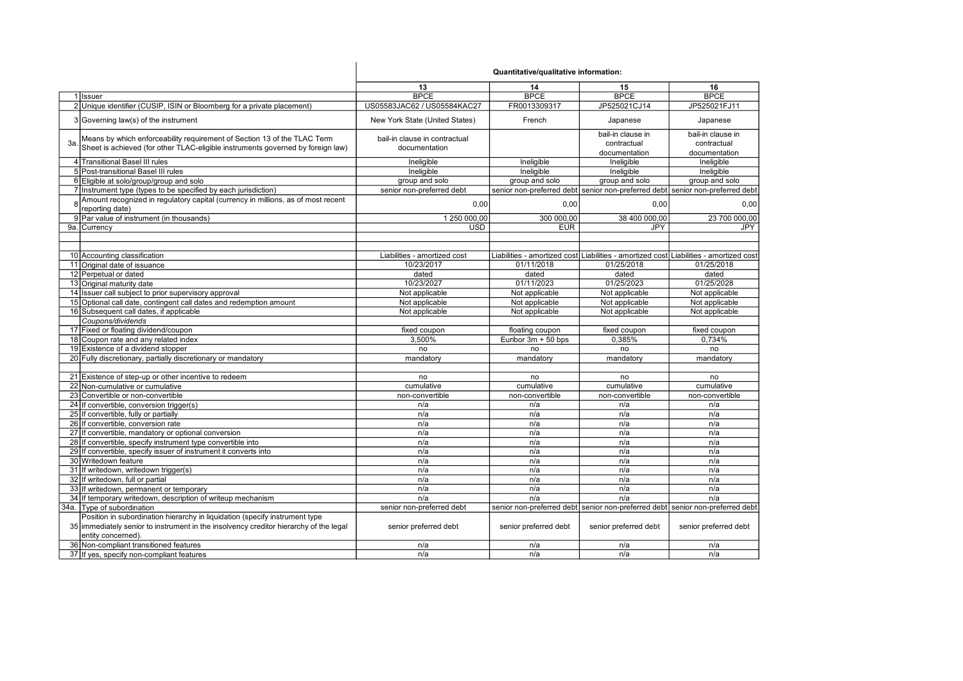|      |                                                                                                                                                             | Quantitative/qualitative information:          |                       |                                                   |                                                                                        |
|------|-------------------------------------------------------------------------------------------------------------------------------------------------------------|------------------------------------------------|-----------------------|---------------------------------------------------|----------------------------------------------------------------------------------------|
|      |                                                                                                                                                             | 13                                             | 14                    | 15                                                | 16                                                                                     |
|      | 1 Issuer                                                                                                                                                    | <b>BPCE</b>                                    | <b>BPCE</b>           | <b>BPCE</b>                                       | <b>BPCE</b>                                                                            |
|      | 2 Unique identifier (CUSIP, ISIN or Bloomberg for a private placement)                                                                                      | US05583JAC62 / US05584KAC27                    | FR0013309317          | JP525021CJ14                                      | JP525021FJ11                                                                           |
|      | 3 Governing law(s) of the instrument                                                                                                                        | New York State (United States)                 | French                | Japanese                                          | Japanese                                                                               |
| 3a   | Means by which enforceability requirement of Section 13 of the TLAC Term<br>Sheet is achieved (for other TLAC-eligible instruments governed by foreign law) | bail-in clause in contractual<br>documentation |                       | bail-in clause in<br>contractual<br>documentation | bail-in clause in<br>contractual<br>documentation                                      |
|      | 4 Transitional Basel III rules                                                                                                                              | Ineligible                                     | Ineligible            | Ineligible                                        | Ineligible                                                                             |
|      | 5 Post-transitional Basel III rules                                                                                                                         | Ineligible                                     | Ineligible            | Ineligible                                        | Ineligible                                                                             |
|      | 6 Eligible at solo/group/group and solo                                                                                                                     | group and solo                                 | group and solo        | group and solo                                    | group and solo                                                                         |
|      | 7 Instrument type (types to be specified by each jurisdiction)                                                                                              | senior non-preferred debt                      |                       |                                                   | senior non-preferred debt senior non-preferred debt senior non-preferred debt          |
|      | Amount recognized in regulatory capital (currency in millions, as of most recent<br>reporting date)                                                         | 0,00                                           | 0,00                  | 0,00                                              | 0,00                                                                                   |
|      | 9 Par value of instrument (in thousands)                                                                                                                    | 1 250 000,00                                   | 300 000,00            | 38 400 000,00                                     | 23 700 000.00                                                                          |
|      | 9a. Currency                                                                                                                                                | USD                                            | <b>EUR</b>            | <b>JPY</b>                                        | JPY                                                                                    |
|      |                                                                                                                                                             |                                                |                       |                                                   |                                                                                        |
|      | 10 Accounting classification                                                                                                                                | Liabilities - amortized cost                   |                       |                                                   | Liabilities - amortized cost Liabilities - amortized cost Liabilities - amortized cost |
|      | 11 Original date of issuance                                                                                                                                | 10/23/2017                                     | 01/11/2018            | 01/25/2018                                        | 01/25/2018                                                                             |
|      | 12 Perpetual or dated                                                                                                                                       | dated                                          | dated                 | dated                                             | dated                                                                                  |
|      | 13 Original maturity date                                                                                                                                   | 10/23/2027                                     | 01/11/2023            | 01/25/2023                                        | 01/25/2028                                                                             |
|      | 14 Issuer call subject to prior supervisory approval                                                                                                        | Not applicable                                 | Not applicable        | Not applicable                                    | Not applicable                                                                         |
|      | 15 Optional call date, contingent call dates and redemption amount                                                                                          | Not applicable                                 | Not applicable        | Not applicable                                    | Not applicable                                                                         |
|      | 16 Subsequent call dates, if applicable                                                                                                                     | Not applicable                                 | Not applicable        | Not applicable                                    | Not applicable                                                                         |
|      | Coupons/dividends                                                                                                                                           |                                                |                       |                                                   |                                                                                        |
|      | 17 Fixed or floating dividend/coupon                                                                                                                        | fixed coupon                                   | floating coupon       | fixed coupon                                      | fixed coupon                                                                           |
|      | 18 Coupon rate and any related index                                                                                                                        | 3,500%                                         | Euribor 3m + 50 bps   | 0,385%                                            | 0,734%                                                                                 |
|      | 19 Existence of a dividend stopper                                                                                                                          | no                                             |                       |                                                   |                                                                                        |
|      | 20 Fully discretionary, partially discretionary or mandatory                                                                                                |                                                | no                    | no                                                | no                                                                                     |
|      |                                                                                                                                                             | mandatory                                      | mandatory             | mandatory                                         | mandatory                                                                              |
|      | 21 Existence of step-up or other incentive to redeem                                                                                                        | no                                             | no                    | no                                                | no                                                                                     |
|      | 22 Non-cumulative or cumulative                                                                                                                             | cumulative                                     | cumulative            | cumulative                                        | cumulative                                                                             |
|      | 23 Convertible or non-convertible                                                                                                                           | non-convertible                                | non-convertible       | non-convertible                                   | non-convertible                                                                        |
|      | 24 If convertible, conversion trigger(s)                                                                                                                    | n/a                                            | n/a                   | n/a                                               | n/a                                                                                    |
|      | 25 If convertible, fully or partially                                                                                                                       | n/a                                            | n/a                   | n/a                                               | n/a                                                                                    |
|      | 26 If convertible, conversion rate                                                                                                                          | n/a                                            | n/a                   | n/a                                               | n/a                                                                                    |
|      | 27 If convertible, mandatory or optional conversion                                                                                                         | n/a                                            | n/a                   | n/a                                               | n/a                                                                                    |
|      | 28 If convertible, specify instrument type convertible into                                                                                                 | n/a                                            | n/a                   | n/a                                               | n/a                                                                                    |
|      | 29 If convertible, specify issuer of instrument it converts into                                                                                            | n/a                                            | n/a                   | n/a                                               | n/a                                                                                    |
|      | 30 Writedown feature                                                                                                                                        | n/a                                            | n/a                   | n/a                                               | n/a                                                                                    |
|      | 31 If writedown, writedown trigger(s)                                                                                                                       | n/a                                            | n/a                   | n/a                                               | n/a                                                                                    |
|      | 32 If writedown, full or partial                                                                                                                            | n/a                                            | n/a                   | n/a                                               | n/a                                                                                    |
|      | 33 If writedown, permanent or temporary                                                                                                                     | n/a                                            | n/a                   | n/a                                               | n/a                                                                                    |
|      | 34 If temporary writedown, description of writeup mechanism                                                                                                 | n/a                                            | n/a                   | n/a                                               | n/a                                                                                    |
| 34a. | Type of subordination                                                                                                                                       | senior non-preferred debt                      |                       |                                                   | senior non-preferred debt  senior non-preferred debt  senior non-preferred debt        |
|      | Position in subordination hierarchy in liquidation (specify instrument type                                                                                 |                                                |                       |                                                   |                                                                                        |
|      | 35 immediately senior to instrument in the insolvency creditor hierarchy of the legal<br>entity concerned).                                                 | senior preferred debt                          | senior preferred debt | senior preferred debt                             | senior preferred debt                                                                  |
|      | 36 Non-compliant transitioned features                                                                                                                      | n/a                                            | n/a                   | n/a                                               | n/a                                                                                    |
|      | 37 If yes, specify non-compliant features                                                                                                                   | n/a                                            | n/a                   | n/a                                               | n/a                                                                                    |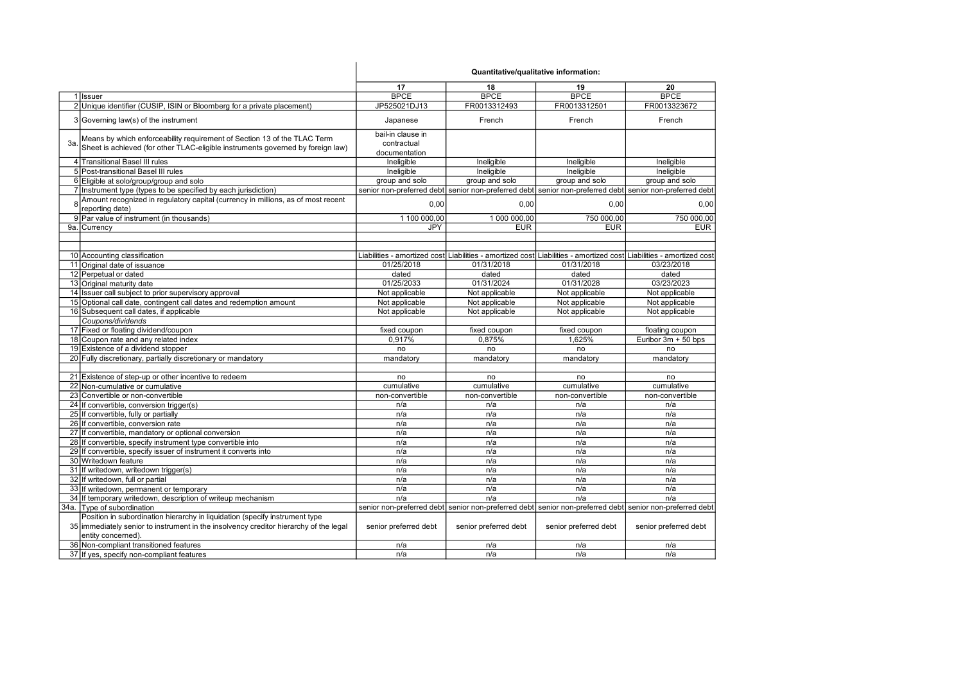|              |                                                                                       | Quantitative/qualitative information: |                       |                                                                                                                     |                       |
|--------------|---------------------------------------------------------------------------------------|---------------------------------------|-----------------------|---------------------------------------------------------------------------------------------------------------------|-----------------------|
|              |                                                                                       | 17                                    | 18                    | 19                                                                                                                  | 20                    |
|              | 1 Issuer                                                                              | <b>BPCE</b>                           | <b>BPCE</b>           | <b>BPCE</b>                                                                                                         | <b>BPCE</b>           |
|              | 2 Unique identifier (CUSIP, ISIN or Bloomberg for a private placement)                | JP525021DJ13                          | FR0013312493          | FR0013312501                                                                                                        | FR0013323672          |
|              | 3 Governing law(s) of the instrument                                                  | Japanese                              | French                | French                                                                                                              | French                |
|              | Means by which enforceability requirement of Section 13 of the TLAC Term              | bail-in clause in                     |                       |                                                                                                                     |                       |
| Зa.          |                                                                                       | contractual                           |                       |                                                                                                                     |                       |
|              | Sheet is achieved (for other TLAC-eligible instruments governed by foreign law)       | documentation                         |                       |                                                                                                                     |                       |
|              | 4 Transitional Basel III rules                                                        | Ineligible                            | Ineligible            | Ineligible                                                                                                          | Ineligible            |
|              | 5 Post-transitional Basel III rules                                                   | Ineligible                            | Ineligible            | Ineligible                                                                                                          | Ineligible            |
|              | 6 Eligible at solo/group/group and solo                                               | group and solo                        | group and solo        | group and solo                                                                                                      | group and solo        |
|              | 7 Instrument type (types to be specified by each jurisdiction)                        |                                       |                       | senior non-preferred debt senior non-preferred debt senior non-preferred debt senior non-preferred debt             |                       |
| $\mathsf{R}$ | Amount recognized in regulatory capital (currency in millions, as of most recent      |                                       |                       |                                                                                                                     |                       |
|              | reporting date)                                                                       | 0.00                                  | 0.00                  | 0.00                                                                                                                | 0.00                  |
|              | 9 Par value of instrument (in thousands)                                              | 1 100 000,00                          | 1 000 000,00          | 750 000,00                                                                                                          | 750 000,00            |
|              | 9a. Currency                                                                          | <b>JPY</b>                            | <b>EUR</b>            | <b>EUR</b>                                                                                                          | <b>EUR</b>            |
|              |                                                                                       |                                       |                       |                                                                                                                     |                       |
|              |                                                                                       |                                       |                       |                                                                                                                     |                       |
|              | 10 Accounting classification                                                          |                                       |                       | Liabilities - amortized cost Liabilities - amortized cost Liabilities - amortized cost Liabilities - amortized cost |                       |
|              | 11 Original date of issuance                                                          | 01/25/2018                            | 01/31/2018            | 01/31/2018                                                                                                          | 03/23/2018            |
|              | 12 Perpetual or dated                                                                 | dated                                 | dated                 | dated                                                                                                               | dated                 |
|              | 13 Original maturity date                                                             | 01/25/2033                            | 01/31/2024            | 01/31/2028                                                                                                          | 03/23/2023            |
|              | 14 Issuer call subject to prior supervisory approval                                  | Not applicable                        | Not applicable        | Not applicable                                                                                                      | Not applicable        |
|              | 15 Optional call date, contingent call dates and redemption amount                    | Not applicable                        | Not applicable        | Not applicable                                                                                                      | Not applicable        |
|              | 16 Subsequent call dates, if applicable                                               | Not applicable                        | Not applicable        | Not applicable                                                                                                      | Not applicable        |
|              | Coupons/dividends                                                                     |                                       |                       |                                                                                                                     |                       |
|              | 17 Fixed or floating dividend/coupon                                                  | fixed coupon                          | fixed coupon          | fixed coupon                                                                                                        | floating coupon       |
|              | 18 Coupon rate and any related index                                                  | 0.917%                                | 0.875%                | 1.625%                                                                                                              | Euribor 3m + 50 bps   |
|              | 19 Existence of a dividend stopper                                                    | no                                    | no                    | no                                                                                                                  | no                    |
|              | 20 Fully discretionary, partially discretionary or mandatory                          | mandatory                             | mandatory             | mandatory                                                                                                           | mandatory             |
|              |                                                                                       |                                       |                       |                                                                                                                     |                       |
|              | 21 Existence of step-up or other incentive to redeem                                  | no                                    | no                    | no                                                                                                                  | no                    |
|              | 22 Non-cumulative or cumulative                                                       | cumulative                            | cumulative            | cumulative                                                                                                          | cumulative            |
|              | 23 Convertible or non-convertible                                                     | non-convertible                       | non-convertible       | non-convertible                                                                                                     | non-convertible       |
|              | 24 If convertible, conversion trigger(s)                                              | n/a                                   | n/a                   | n/a                                                                                                                 | n/a                   |
|              | 25 If convertible, fully or partially                                                 | n/a                                   | n/a                   | n/a                                                                                                                 | n/a                   |
|              | 26 If convertible, conversion rate                                                    | n/a                                   | n/a                   | n/a                                                                                                                 | n/a                   |
|              | 27 If convertible, mandatory or optional conversion                                   | n/a                                   | n/a                   | n/a                                                                                                                 | n/a                   |
|              | 28 If convertible, specify instrument type convertible into                           | n/a                                   | n/a                   | n/a                                                                                                                 | n/a                   |
|              | 29 If convertible, specify issuer of instrument it converts into                      | n/a                                   | n/a                   | n/a                                                                                                                 | n/a                   |
|              | 30 Writedown feature                                                                  | n/a                                   | n/a                   | n/a                                                                                                                 | n/a                   |
|              | 31 If writedown, writedown trigger(s)                                                 | n/a                                   | n/a                   | n/a                                                                                                                 | n/a                   |
|              | 32 If writedown, full or partial                                                      | n/a                                   | n/a                   | n/a                                                                                                                 | n/a                   |
|              | 33 If writedown, permanent or temporary                                               | n/a                                   | n/a                   | n/a                                                                                                                 | n/a                   |
|              | 34 If temporary writedown, description of writeup mechanism                           | n/a                                   | n/a                   | n/a                                                                                                                 | n/a                   |
|              | 34a. Type of subordination                                                            |                                       |                       | senior non-preferred debt senior non-preferred debt senior non-preferred debt senior non-preferred debt             |                       |
|              | Position in subordination hierarchy in liquidation (specify instrument type           |                                       |                       |                                                                                                                     |                       |
|              | 35 immediately senior to instrument in the insolvency creditor hierarchy of the legal | senior preferred debt                 | senior preferred debt | senior preferred debt                                                                                               | senior preferred debt |
|              | entity concerned).                                                                    |                                       |                       |                                                                                                                     |                       |
|              | 36 Non-compliant transitioned features                                                | n/a                                   | n/a                   | n/a                                                                                                                 | n/a                   |
|              | 37 If yes, specify non-compliant features                                             | n/a                                   | n/a                   | n/a                                                                                                                 | n/a                   |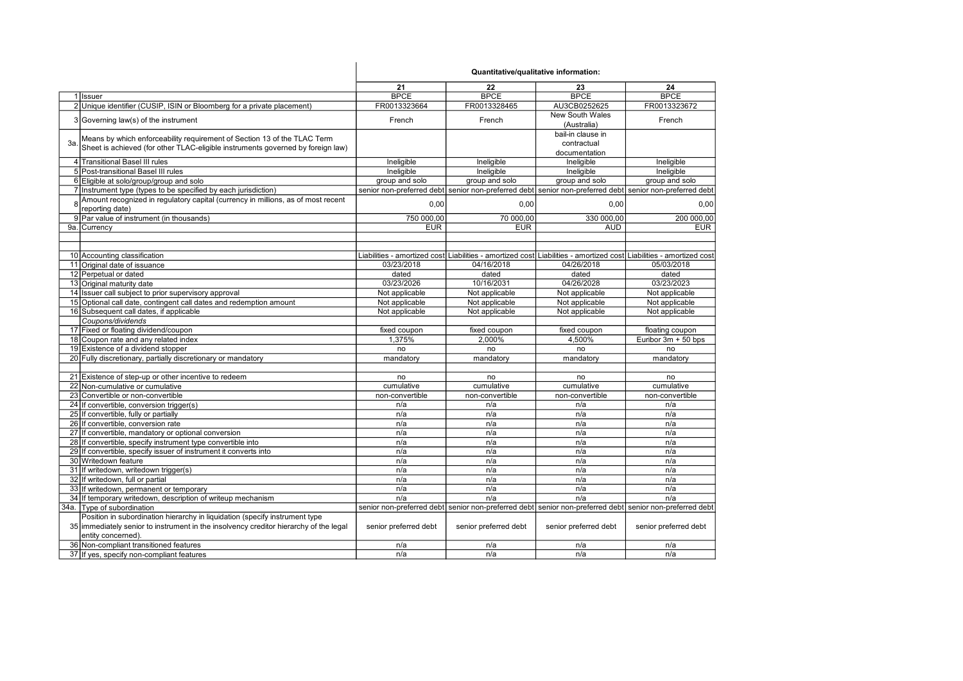|    |                                                                                       | 21                    | 22                    | 23                                                                                                                  | 24                    |
|----|---------------------------------------------------------------------------------------|-----------------------|-----------------------|---------------------------------------------------------------------------------------------------------------------|-----------------------|
|    | 1 Issuer                                                                              | <b>BPCE</b>           | <b>BPCE</b>           | <b>BPCE</b>                                                                                                         | <b>BPCE</b>           |
|    | 2 Unique identifier (CUSIP, ISIN or Bloomberg for a private placement)                | FR0013323664          | FR0013328465          | AU3CB0252625                                                                                                        | FR0013323672          |
|    |                                                                                       |                       |                       | <b>New South Wales</b>                                                                                              |                       |
|    | 3 Governing law(s) of the instrument                                                  | French                | French                | (Australia)                                                                                                         | French                |
|    |                                                                                       |                       |                       | bail-in clause in                                                                                                   |                       |
| 3a | Means by which enforceability requirement of Section 13 of the TLAC Term              |                       |                       | contractual                                                                                                         |                       |
|    | Sheet is achieved (for other TLAC-eligible instruments governed by foreign law)       |                       |                       | documentation                                                                                                       |                       |
|    | 4 Transitional Basel III rules                                                        | Ineligible            | Ineligible            | Ineligible                                                                                                          | Ineligible            |
|    | 5 Post-transitional Basel III rules                                                   | Ineligible            | Ineligible            | Ineligible                                                                                                          | Ineligible            |
|    | 6 Eligible at solo/group/group and solo                                               |                       | group and solo        | group and solo                                                                                                      | group and solo        |
|    |                                                                                       | group and solo        |                       |                                                                                                                     |                       |
|    | 7 Instrument type (types to be specified by each jurisdiction)                        |                       |                       | senior non-preferred debt  senior non-preferred debt  senior non-preferred debt  senior non-preferred debt          |                       |
|    | Amount recognized in regulatory capital (currency in millions, as of most recent      | 0,00                  | 0,00                  | 0,00                                                                                                                | 0,00                  |
|    | reporting date)                                                                       |                       |                       |                                                                                                                     |                       |
|    | 9 Par value of instrument (in thousands)                                              | 750 000,00            | 70 000,00             | 330 000,00                                                                                                          | 200 000,00            |
|    | 9a. Currency                                                                          | <b>EUR</b>            | <b>EUR</b>            | <b>AUD</b>                                                                                                          | <b>EUR</b>            |
|    |                                                                                       |                       |                       |                                                                                                                     |                       |
|    |                                                                                       |                       |                       |                                                                                                                     |                       |
|    | 10 Accounting classification                                                          |                       |                       | Liabilities - amortized cost Liabilities - amortized cost Liabilities - amortized cost Liabilities - amortized cost |                       |
|    | 11 Original date of issuance                                                          | 03/23/2018            | 04/16/2018            | 04/26/2018                                                                                                          | 05/03/2018            |
|    | 12 Perpetual or dated                                                                 | dated                 | dated                 | dated                                                                                                               | dated                 |
|    | 13 Original maturity date                                                             | 03/23/2026            | 10/16/2031            | 04/26/2028                                                                                                          | 03/23/2023            |
|    | 14 Issuer call subject to prior supervisory approval                                  | Not applicable        | Not applicable        | Not applicable                                                                                                      | Not applicable        |
|    | 15 Optional call date, contingent call dates and redemption amount                    | Not applicable        | Not applicable        | Not applicable                                                                                                      | Not applicable        |
|    | 16 Subsequent call dates, if applicable                                               | Not applicable        | Not applicable        | Not applicable                                                                                                      | Not applicable        |
|    | Coupons/dividends                                                                     |                       |                       |                                                                                                                     |                       |
|    | 17 Fixed or floating dividend/coupon                                                  | fixed coupon          | fixed coupon          | fixed coupon                                                                                                        | floating coupon       |
|    | 18 Coupon rate and any related index                                                  | 1,375%                | 2,000%                | 4,500%                                                                                                              | Euribor 3m + 50 bps   |
|    | 19 Existence of a dividend stopper                                                    | no                    | no                    | no                                                                                                                  | no                    |
|    | 20 Fully discretionary, partially discretionary or mandatory                          | mandatory             | mandatory             | mandatory                                                                                                           | mandatory             |
|    |                                                                                       |                       |                       |                                                                                                                     |                       |
|    | 21 Existence of step-up or other incentive to redeem                                  | no                    | no                    | no                                                                                                                  | no                    |
|    | 22 Non-cumulative or cumulative                                                       | cumulative            | cumulative            | cumulative                                                                                                          | cumulative            |
|    | 23 Convertible or non-convertible                                                     | non-convertible       | non-convertible       | non-convertible                                                                                                     | non-convertible       |
|    | 24 If convertible, conversion trigger(s)                                              | n/a                   | n/a                   | n/a                                                                                                                 | n/a                   |
|    | 25 If convertible, fully or partially                                                 | n/a                   | n/a                   | n/a                                                                                                                 | n/a                   |
|    | 26 If convertible, conversion rate                                                    | n/a                   | n/a                   | n/a                                                                                                                 | n/a                   |
|    | 27 If convertible, mandatory or optional conversion                                   | n/a                   | n/a                   | n/a                                                                                                                 | n/a                   |
|    | 28 If convertible, specify instrument type convertible into                           | n/a                   | n/a                   | n/a                                                                                                                 | n/a                   |
|    | 29 If convertible, specify issuer of instrument it converts into                      | n/a                   | n/a                   | n/a                                                                                                                 | n/a                   |
|    | 30 Writedown feature                                                                  | n/a                   | n/a                   | n/a                                                                                                                 | n/a                   |
|    | 31 If writedown, writedown trigger(s)                                                 | n/a                   | n/a                   | n/a                                                                                                                 | n/a                   |
|    | 32 If writedown, full or partial                                                      | n/a                   | n/a                   | n/a                                                                                                                 | n/a                   |
|    | 33 If writedown, permanent or temporary                                               | n/a                   | n/a                   | n/a                                                                                                                 | n/a                   |
|    | 34 If temporary writedown, description of writeup mechanism                           | n/a                   | n/a                   | n/a                                                                                                                 | n/a                   |
|    | 34a. Type of subordination                                                            |                       |                       | senior non-preferred debt senior non-preferred debt senior non-preferred debt senior non-preferred debt             |                       |
|    | Position in subordination hierarchy in liquidation (specify instrument type           |                       |                       |                                                                                                                     |                       |
|    | 35 immediately senior to instrument in the insolvency creditor hierarchy of the legal | senior preferred debt | senior preferred debt | senior preferred debt                                                                                               | senior preferred debt |
|    | entity concerned).                                                                    |                       |                       |                                                                                                                     |                       |
|    | 36 Non-compliant transitioned features                                                | n/a                   | n/a                   | n/a                                                                                                                 | n/a                   |
|    | 37 If yes, specify non-compliant features                                             | n/a                   | n/a                   | n/a                                                                                                                 | n/a                   |
|    |                                                                                       |                       |                       |                                                                                                                     |                       |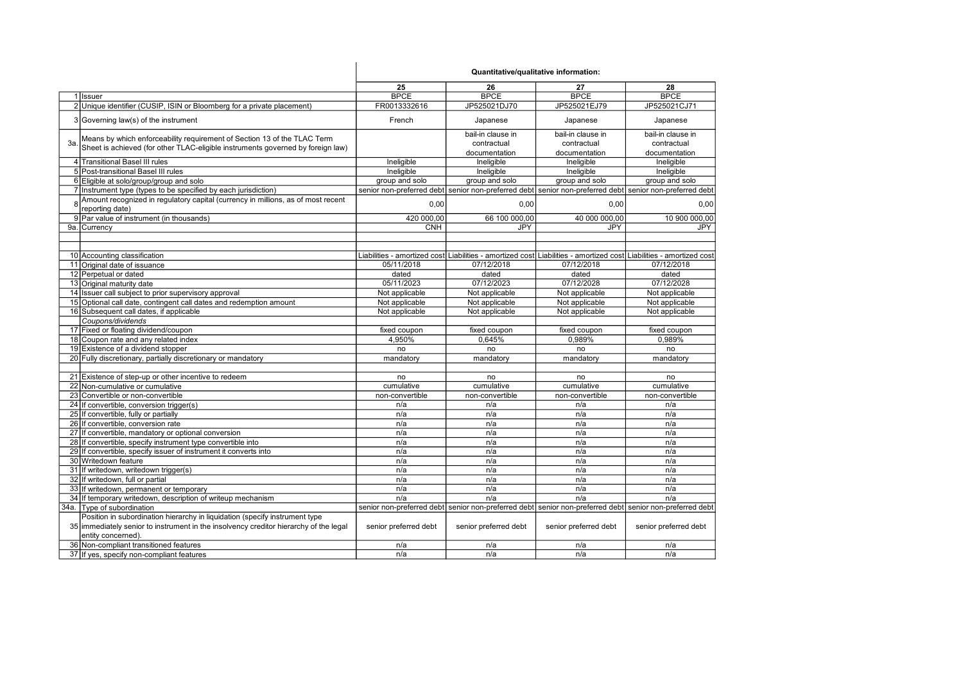|     |                                                                                                     | Quantitative/qualitative information: |                                                                                                                     |                       |                       |
|-----|-----------------------------------------------------------------------------------------------------|---------------------------------------|---------------------------------------------------------------------------------------------------------------------|-----------------------|-----------------------|
|     |                                                                                                     | 25                                    | 26                                                                                                                  | 27                    | 28                    |
|     | 1 Issuer                                                                                            | <b>BPCE</b>                           | <b>BPCE</b>                                                                                                         | <b>BPCE</b>           | <b>BPCE</b>           |
|     | 2 Unique identifier (CUSIP, ISIN or Bloomberg for a private placement)                              | FR0013332616                          | JP525021DJ70                                                                                                        | JP525021EJ79          | JP525021CJ71          |
|     | 3 Governing law(s) of the instrument                                                                | French                                | Japanese                                                                                                            | Japanese              | Japanese              |
|     | Means by which enforceability requirement of Section 13 of the TLAC Term                            |                                       | bail-in clause in                                                                                                   | bail-in clause in     | bail-in clause in     |
| Зa. | Sheet is achieved (for other TLAC-eligible instruments governed by foreign law)                     |                                       | contractual                                                                                                         | contractual           | contractual           |
|     |                                                                                                     |                                       | documentation                                                                                                       | documentation         | documentation         |
|     | 4 Transitional Basel III rules                                                                      | Ineligible                            | Ineligible                                                                                                          | Ineligible            | Ineligible            |
|     | 5 Post-transitional Basel III rules                                                                 | Ineligible                            | Ineligible                                                                                                          | Ineligible            | Ineligible            |
|     | 6 Eligible at solo/group/group and solo                                                             | group and solo                        | group and solo                                                                                                      | group and solo        | group and solo        |
|     | 7 Instrument type (types to be specified by each jurisdiction)                                      |                                       | senior non-preferred debt senior non-preferred debt senior non-preferred debt senior non-preferred debt             |                       |                       |
|     | Amount recognized in regulatory capital (currency in millions, as of most recent<br>reporting date) | 0.00                                  | 0,00                                                                                                                | 0.00                  | 0.00                  |
|     | 9 Par value of instrument (in thousands)                                                            | 420 000,00                            | 66 100 000,00                                                                                                       | 40 000 000,00         | 10 900 000,00         |
|     | 9a. Currency                                                                                        | <b>CNH</b>                            | <b>JPY</b>                                                                                                          | <b>JPY</b>            | JPY                   |
|     |                                                                                                     |                                       |                                                                                                                     |                       |                       |
|     |                                                                                                     |                                       |                                                                                                                     |                       |                       |
|     | 10 Accounting classification                                                                        |                                       | Liabilities - amortized cost Liabilities - amortized cost Liabilities - amortized cost Liabilities - amortized cost |                       |                       |
|     | 11 Original date of issuance                                                                        | 05/11/2018                            | 07/12/2018                                                                                                          | 07/12/2018            | 07/12/2018            |
|     | 12 Perpetual or dated                                                                               | dated                                 | dated                                                                                                               | dated                 | dated                 |
|     | 13 Original maturity date                                                                           | 05/11/2023                            | 07/12/2023                                                                                                          | 07/12/2028            | 07/12/2028            |
|     | 14 Issuer call subject to prior supervisory approval                                                | Not applicable                        | Not applicable                                                                                                      | Not applicable        | Not applicable        |
|     | 15 Optional call date, contingent call dates and redemption amount                                  | Not applicable                        | Not applicable                                                                                                      | Not applicable        | Not applicable        |
|     | 16 Subsequent call dates, if applicable                                                             | Not applicable                        | Not applicable                                                                                                      | Not applicable        | Not applicable        |
|     | Coupons/dividends                                                                                   |                                       |                                                                                                                     |                       |                       |
|     | 17 Fixed or floating dividend/coupon                                                                | fixed coupon                          | fixed coupon                                                                                                        | fixed coupon          | fixed coupon          |
|     | 18 Coupon rate and any related index                                                                | 4.950%                                | 0,645%                                                                                                              | 0.989%                | 0.989%                |
|     | 19 Existence of a dividend stopper                                                                  | no                                    | no                                                                                                                  | no                    | no                    |
|     | 20 Fully discretionary, partially discretionary or mandatory                                        | mandatory                             | mandatory                                                                                                           | mandatory             | mandatory             |
|     |                                                                                                     |                                       |                                                                                                                     |                       |                       |
|     | 21 Existence of step-up or other incentive to redeem                                                | no                                    | no                                                                                                                  | no                    | no                    |
|     | 22 Non-cumulative or cumulative                                                                     | cumulative                            | cumulative                                                                                                          | cumulative            | cumulative            |
|     | 23 Convertible or non-convertible                                                                   | non-convertible                       | non-convertible                                                                                                     | non-convertible       | non-convertible       |
|     | 24 If convertible, conversion trigger(s)                                                            | n/a                                   | n/a                                                                                                                 | n/a                   | n/a                   |
|     | 25 If convertible, fully or partially                                                               | n/a                                   | n/a                                                                                                                 | n/a                   | n/a                   |
|     | 26 If convertible, conversion rate                                                                  | n/a                                   | n/a                                                                                                                 | n/a                   | n/a                   |
|     | 27 If convertible, mandatory or optional conversion                                                 | n/a                                   | n/a                                                                                                                 | n/a                   | n/a                   |
|     | 28 If convertible, specify instrument type convertible into                                         | n/a                                   | n/a                                                                                                                 | n/a                   | n/a                   |
|     | 29 If convertible, specify issuer of instrument it converts into                                    | n/a                                   | n/a                                                                                                                 | n/a                   | n/a                   |
|     | 30 Writedown feature                                                                                | n/a                                   | n/a                                                                                                                 | n/a                   | n/a                   |
|     | 31 If writedown, writedown trigger(s)                                                               | n/a                                   | n/a                                                                                                                 | n/a                   | n/a                   |
|     | 32 If writedown, full or partial                                                                    | n/a                                   | n/a                                                                                                                 | n/a                   | n/a                   |
|     | 33 If writedown, permanent or temporary                                                             | n/a                                   | n/a                                                                                                                 | n/a                   | n/a                   |
|     |                                                                                                     | n/a                                   | n/a                                                                                                                 | n/a                   | n/a                   |
|     | 34 If temporary writedown, description of writeup mechanism                                         |                                       |                                                                                                                     |                       |                       |
|     | 34a. Type of subordination                                                                          |                                       | senior non-preferred debt  senior non-preferred debt  senior non-preferred debt  senior non-preferred debt          |                       |                       |
|     | Position in subordination hierarchy in liquidation (specify instrument type                         |                                       |                                                                                                                     |                       |                       |
|     | 35 immediately senior to instrument in the insolvency creditor hierarchy of the legal               | senior preferred debt                 | senior preferred debt                                                                                               | senior preferred debt | senior preferred debt |
|     | entity concerned).                                                                                  |                                       |                                                                                                                     |                       |                       |
|     | 36 Non-compliant transitioned features                                                              | n/a                                   | n/a                                                                                                                 | n/a                   | n/a                   |
|     | 37 If yes, specify non-compliant features                                                           | n/a                                   | n/a                                                                                                                 | n/a                   | n/a                   |

 $\overline{1}$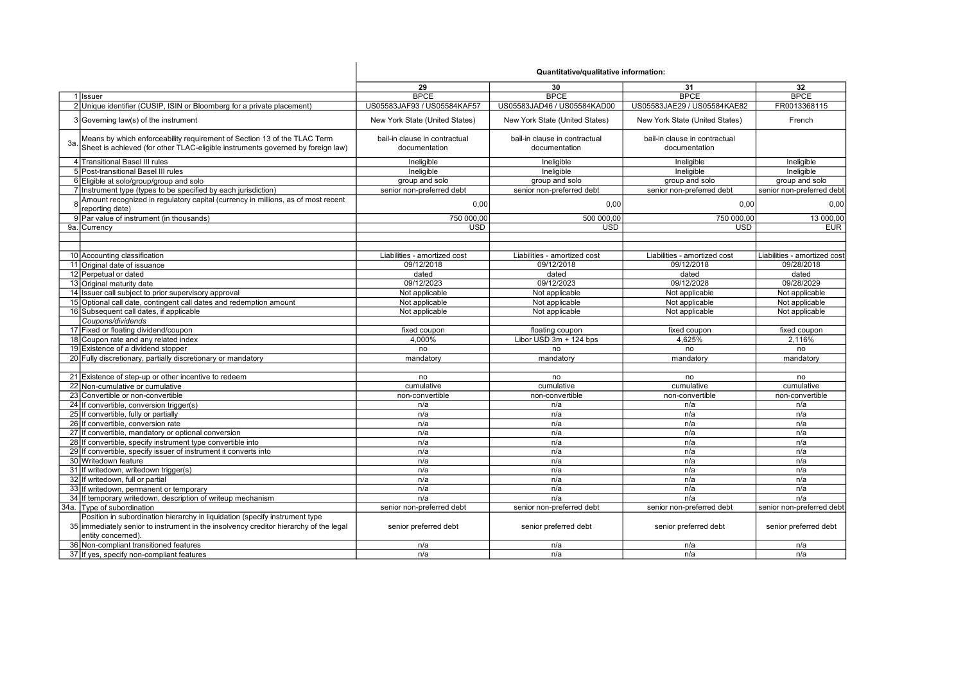|     |                                                                                                                                                                                            | Quantitative/qualitative information:          |                                                |                                                |                              |
|-----|--------------------------------------------------------------------------------------------------------------------------------------------------------------------------------------------|------------------------------------------------|------------------------------------------------|------------------------------------------------|------------------------------|
|     |                                                                                                                                                                                            | 29                                             | 30                                             | 31                                             | 32                           |
|     | 1 Issuer                                                                                                                                                                                   | <b>BPCE</b>                                    | <b>BPCE</b>                                    | <b>BPCE</b>                                    | <b>BPCE</b>                  |
|     | 2 Unique identifier (CUSIP, ISIN or Bloomberg for a private placement)                                                                                                                     | US05583JAF93 / US05584KAF57                    | US05583JAD46 / US05584KAD00                    | US05583JAE29 / US05584KAE82                    | FR0013368115                 |
|     | 3 Governing law(s) of the instrument                                                                                                                                                       | New York State (United States)                 | New York State (United States)                 | New York State (United States)                 | French                       |
| За. | Means by which enforceability requirement of Section 13 of the TLAC Term<br>Sheet is achieved (for other TLAC-eligible instruments governed by foreign law)                                | bail-in clause in contractual<br>documentation | bail-in clause in contractual<br>documentation | bail-in clause in contractual<br>documentation |                              |
|     | 4 Transitional Basel III rules                                                                                                                                                             | Ineligible                                     | Ineligible                                     | Ineligible                                     | Ineligible                   |
|     | 5 Post-transitional Basel III rules                                                                                                                                                        | Ineligible                                     | Ineligible                                     | Ineligible                                     | Ineligible                   |
|     | 6 Eligible at solo/group/group and solo                                                                                                                                                    | group and solo                                 | group and solo                                 | group and solo                                 | group and solo               |
|     | 7 Instrument type (types to be specified by each jurisdiction)                                                                                                                             | senior non-preferred debt                      | senior non-preferred debt                      | senior non-preferred debt                      | senior non-preferred debt    |
|     | 8 Amount recognized in regulatory capital (currency in millions, as of most recent<br>reporting date)                                                                                      | 0,00                                           | 0,00                                           | 0,00                                           | 0,00                         |
|     | 9 Par value of instrument (in thousands)                                                                                                                                                   | 750 000,00                                     | 500 000,00                                     | 750 000,00                                     | 13 000,00                    |
|     | 9a. Currency                                                                                                                                                                               | $\overline{USD}$                               | <b>USD</b>                                     | <b>USD</b>                                     | <b>EUR</b>                   |
|     |                                                                                                                                                                                            |                                                |                                                |                                                |                              |
|     | 10 Accounting classification                                                                                                                                                               | Liabilities - amortized cost                   | Liabilities - amortized cost                   | Liabilities - amortized cost                   | Liabilities - amortized cost |
|     | 11 Original date of issuance                                                                                                                                                               | 09/12/2018                                     | 09/12/2018                                     | 09/12/2018                                     | 09/28/2018                   |
|     | 12 Perpetual or dated                                                                                                                                                                      | dated                                          | dated                                          | dated                                          | dated                        |
|     | 13 Original maturity date                                                                                                                                                                  | 09/12/2023                                     | 09/12/2023                                     | 09/12/2028                                     | 09/28/2029                   |
|     | 14 Issuer call subject to prior supervisory approval                                                                                                                                       | Not applicable                                 | Not applicable                                 | Not applicable                                 | Not applicable               |
|     |                                                                                                                                                                                            | Not applicable                                 |                                                |                                                |                              |
|     | 15 Optional call date, contingent call dates and redemption amount                                                                                                                         |                                                | Not applicable                                 | Not applicable                                 | Not applicable               |
|     | 16 Subsequent call dates, if applicable                                                                                                                                                    | Not applicable                                 | Not applicable                                 | Not applicable                                 | Not applicable               |
|     | Coupons/dividends                                                                                                                                                                          |                                                |                                                |                                                |                              |
|     | 17 Fixed or floating dividend/coupon                                                                                                                                                       | fixed coupon                                   | floating coupon                                | fixed coupon                                   | fixed coupon                 |
|     | 18 Coupon rate and any related index                                                                                                                                                       | 4,000%                                         | Libor USD 3m + 124 bps                         | 4,625%                                         | 2,116%                       |
|     | 19 Existence of a dividend stopper                                                                                                                                                         | no                                             | no                                             | no                                             | no                           |
|     | 20 Fully discretionary, partially discretionary or mandatory                                                                                                                               | mandatory                                      | mandatory                                      | mandatory                                      | mandatory                    |
|     | 21 Existence of step-up or other incentive to redeem                                                                                                                                       | no                                             | no                                             | no                                             | no                           |
|     | 22 Non-cumulative or cumulative                                                                                                                                                            | cumulative                                     | cumulative                                     | cumulative                                     | cumulative                   |
|     | 23 Convertible or non-convertible                                                                                                                                                          | non-convertible                                | non-convertible                                | non-convertible                                | non-convertible              |
|     |                                                                                                                                                                                            |                                                |                                                |                                                |                              |
|     | 24 If convertible, conversion trigger(s)                                                                                                                                                   | n/a                                            | n/a<br>n/a                                     | n/a                                            | n/a                          |
|     | 25 If convertible, fully or partially                                                                                                                                                      | n/a<br>n/a                                     | n/a                                            | n/a                                            | n/a                          |
|     | 26 If convertible, conversion rate                                                                                                                                                         |                                                |                                                | n/a                                            | n/a                          |
|     | 27 If convertible, mandatory or optional conversion                                                                                                                                        | n/a                                            | n/a                                            | n/a                                            | n/a                          |
|     | 28 If convertible, specify instrument type convertible into                                                                                                                                | n/a                                            | n/a<br>n/a                                     | n/a                                            | n/a                          |
|     | 29 If convertible, specify issuer of instrument it converts into<br>30 Writedown feature                                                                                                   | n/a                                            | n/a                                            | n/a                                            | n/a                          |
|     |                                                                                                                                                                                            | n/a                                            |                                                | n/a                                            | n/a                          |
|     | 31 If writedown, writedown trigger(s)                                                                                                                                                      | n/a                                            | n/a                                            | n/a                                            | n/a                          |
|     | 32 If writedown, full or partial                                                                                                                                                           | n/a                                            | n/a                                            | n/a                                            | n/a                          |
|     | 33 If writedown, permanent or temporary                                                                                                                                                    | n/a                                            | n/a                                            | n/a                                            | n/a                          |
|     | 34 If temporary writedown, description of writeup mechanism                                                                                                                                | n/a                                            | n/a                                            | n/a                                            | n/a                          |
|     | 34a. Type of subordination                                                                                                                                                                 | senior non-preferred debt                      | senior non-preferred debt                      | senior non-preferred debt                      | senior non-preferred debt    |
|     | Position in subordination hierarchy in liquidation (specify instrument type<br>35 immediately senior to instrument in the insolvency creditor hierarchy of the legal<br>entity concerned). | senior preferred debt                          | senior preferred debt                          | senior preferred debt                          | senior preferred debt        |
|     | 36 Non-compliant transitioned features                                                                                                                                                     | n/a                                            | n/a                                            | n/a                                            | n/a                          |
|     | 37 If yes, specify non-compliant features                                                                                                                                                  | n/a                                            | n/a                                            | n/a                                            | n/a                          |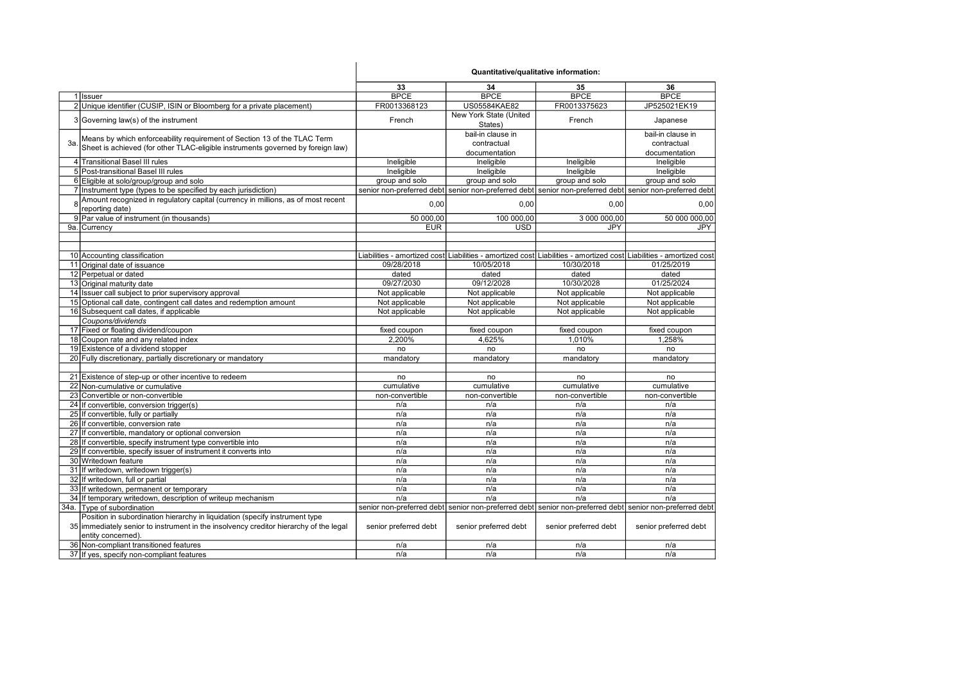|     |                                                                                                     | Quantitative/qualitative information: |                                   |                                                                                                                     |                       |
|-----|-----------------------------------------------------------------------------------------------------|---------------------------------------|-----------------------------------|---------------------------------------------------------------------------------------------------------------------|-----------------------|
|     |                                                                                                     | 33                                    | 34                                | 35                                                                                                                  | 36                    |
|     | 1 Issuer                                                                                            | <b>BPCE</b>                           | <b>BPCE</b>                       | <b>BPCE</b>                                                                                                         | <b>BPCE</b>           |
|     | 2 Unique identifier (CUSIP, ISIN or Bloomberg for a private placement)                              | FR0013368123                          | US05584KAE82                      | FR0013375623                                                                                                        | JP525021EK19          |
|     | 3 Governing law(s) of the instrument                                                                | French                                | New York State (United<br>States) | French                                                                                                              | Japanese              |
|     |                                                                                                     |                                       | bail-in clause in                 |                                                                                                                     | bail-in clause in     |
| Зa. | Means by which enforceability requirement of Section 13 of the TLAC Term                            |                                       | contractual                       |                                                                                                                     | contractual           |
|     | Sheet is achieved (for other TLAC-eligible instruments governed by foreign law)                     |                                       | documentation                     |                                                                                                                     | documentation         |
|     | 4 Transitional Basel III rules                                                                      | Ineligible                            | Ineligible                        | Ineligible                                                                                                          | Ineligible            |
|     | 5 Post-transitional Basel III rules                                                                 | Ineligible                            | Ineligible                        | Ineligible                                                                                                          | Ineligible            |
|     | 6 Eligible at solo/group/group and solo                                                             | group and solo                        | group and solo                    | group and solo                                                                                                      | group and solo        |
|     | 7 Instrument type (types to be specified by each jurisdiction)                                      |                                       |                                   | senior non-preferred debt senior non-preferred debt senior non-preferred debt senior non-preferred debt             |                       |
|     | Amount recognized in regulatory capital (currency in millions, as of most recent<br>reporting date) | 0.00                                  | 0,00                              | 0.00                                                                                                                | 0.00                  |
|     | 9 Par value of instrument (in thousands)                                                            | 50 000,00                             | 100 000,00                        | 3 000 000,00                                                                                                        | 50 000 000,00         |
|     | 9a. Currency                                                                                        | <b>EUR</b>                            | <b>USD</b>                        | <b>JPY</b>                                                                                                          | JPY                   |
|     |                                                                                                     |                                       |                                   |                                                                                                                     |                       |
|     |                                                                                                     |                                       |                                   |                                                                                                                     |                       |
|     | 10 Accounting classification                                                                        |                                       |                                   | Liabilities - amortized cost Liabilities - amortized cost Liabilities - amortized cost Liabilities - amortized cost |                       |
|     | 11 Original date of issuance                                                                        | 09/28/2018                            | 10/05/2018                        | 10/30/2018                                                                                                          | 01/25/2019            |
|     | 12 Perpetual or dated                                                                               | dated                                 | dated                             | dated                                                                                                               | dated                 |
|     | 13 Original maturity date                                                                           | 09/27/2030                            | 09/12/2028                        | 10/30/2028                                                                                                          | 01/25/2024            |
|     | 14 Issuer call subject to prior supervisory approval                                                | Not applicable                        | Not applicable                    | Not applicable                                                                                                      | Not applicable        |
|     | 15 Optional call date, contingent call dates and redemption amount                                  | Not applicable                        | Not applicable                    | Not applicable                                                                                                      | Not applicable        |
|     | 16 Subsequent call dates, if applicable                                                             | Not applicable                        | Not applicable                    | Not applicable                                                                                                      | Not applicable        |
|     | Coupons/dividends                                                                                   |                                       |                                   |                                                                                                                     |                       |
|     | 17 Fixed or floating dividend/coupon                                                                | fixed coupon                          | fixed coupon                      | fixed coupon                                                                                                        | fixed coupon          |
|     | 18 Coupon rate and any related index                                                                | 2.200%                                | 4.625%                            | 1.010%                                                                                                              | 1,258%                |
|     | 19 Existence of a dividend stopper                                                                  | no                                    | no                                | no                                                                                                                  | no                    |
|     | 20 Fully discretionary, partially discretionary or mandatory                                        | mandatory                             | mandatory                         | mandatory                                                                                                           | mandatory             |
|     |                                                                                                     |                                       |                                   |                                                                                                                     |                       |
|     | 21 Existence of step-up or other incentive to redeem                                                | no                                    | no                                | no                                                                                                                  | no                    |
|     | 22 Non-cumulative or cumulative                                                                     | cumulative                            | cumulative                        | cumulative                                                                                                          | cumulative            |
|     | 23 Convertible or non-convertible                                                                   | non-convertible                       | non-convertible                   | non-convertible                                                                                                     | non-convertible       |
|     | 24 If convertible, conversion trigger(s)                                                            | n/a                                   | n/a                               | n/a                                                                                                                 | n/a                   |
|     | 25 If convertible, fully or partially                                                               | n/a                                   | n/a                               | n/a                                                                                                                 | n/a                   |
|     | 26 If convertible, conversion rate                                                                  | n/a                                   | n/a                               | n/a                                                                                                                 | n/a                   |
|     | 27 If convertible, mandatory or optional conversion                                                 | n/a                                   | n/a                               | n/a                                                                                                                 | n/a                   |
|     | 28 If convertible, specify instrument type convertible into                                         | n/a                                   | n/a                               | n/a                                                                                                                 | n/a                   |
|     | 29 If convertible, specify issuer of instrument it converts into                                    | n/a                                   | n/a                               | n/a                                                                                                                 | n/a                   |
|     | 30 Writedown feature                                                                                | n/a                                   | n/a                               | n/a                                                                                                                 | n/a                   |
|     | 31 If writedown, writedown trigger(s)                                                               | n/a                                   | n/a                               | n/a                                                                                                                 | n/a                   |
|     | 32 If writedown, full or partial                                                                    | n/a                                   | n/a                               | n/a                                                                                                                 | n/a                   |
|     | 33 If writedown, permanent or temporary                                                             | n/a                                   | n/a                               | n/a                                                                                                                 | n/a                   |
|     | 34 If temporary writedown, description of writeup mechanism                                         | n/a                                   | n/a                               | n/a                                                                                                                 | n/a                   |
|     | 34a. Type of subordination                                                                          |                                       |                                   | senior non-preferred debt  senior non-preferred debt  senior non-preferred debt  senior non-preferred debt          |                       |
|     | Position in subordination hierarchy in liquidation (specify instrument type                         |                                       |                                   |                                                                                                                     |                       |
|     | 35 immediately senior to instrument in the insolvency creditor hierarchy of the legal               | senior preferred debt                 | senior preferred debt             | senior preferred debt                                                                                               | senior preferred debt |
|     | entity concerned).                                                                                  |                                       |                                   |                                                                                                                     |                       |
|     | 36 Non-compliant transitioned features                                                              | n/a                                   | n/a                               | n/a                                                                                                                 | n/a                   |
|     | 37 If yes, specify non-compliant features                                                           | n/a                                   | n/a                               | n/a                                                                                                                 | n/a                   |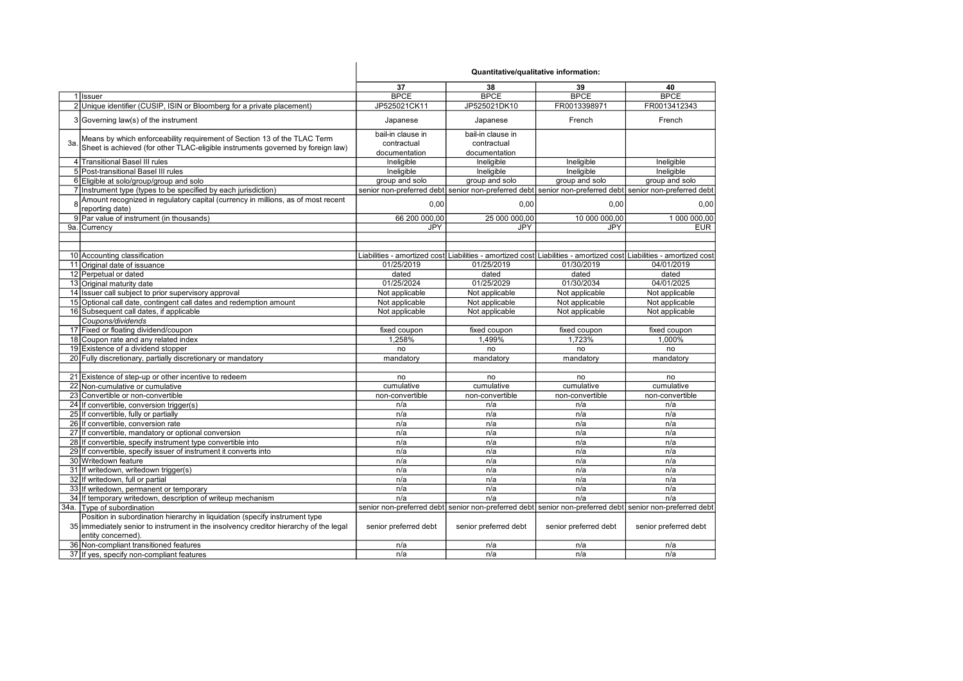|     |                                                                                       | Quantitative/qualitative information: |                       |                                                                                                                     |                       |
|-----|---------------------------------------------------------------------------------------|---------------------------------------|-----------------------|---------------------------------------------------------------------------------------------------------------------|-----------------------|
|     |                                                                                       | 37                                    | 38                    | 39                                                                                                                  | 40                    |
|     | 1 Issuer                                                                              | <b>BPCE</b>                           | <b>BPCE</b>           | <b>BPCE</b>                                                                                                         | <b>BPCE</b>           |
|     | 2 Unique identifier (CUSIP, ISIN or Bloomberg for a private placement)                | JP525021CK11                          | JP525021DK10          | FR0013398971                                                                                                        | FR0013412343          |
|     | 3 Governing law(s) of the instrument                                                  | Japanese                              | Japanese              | French                                                                                                              | French                |
|     | Means by which enforceability requirement of Section 13 of the TLAC Term              | bail-in clause in                     | bail-in clause in     |                                                                                                                     |                       |
| За. | Sheet is achieved (for other TLAC-eligible instruments governed by foreign law)       | contractual                           | contractual           |                                                                                                                     |                       |
|     |                                                                                       | documentation                         | documentation         |                                                                                                                     |                       |
|     | 4 Transitional Basel III rules                                                        | Ineligible                            | Ineligible            | Ineligible                                                                                                          | Ineligible            |
|     | 5 Post-transitional Basel III rules                                                   | Ineligible                            | Ineligible            | Ineligible                                                                                                          | Ineligible            |
|     | 6 Eligible at solo/group/group and solo                                               | group and solo                        | group and solo        | group and solo                                                                                                      | group and solo        |
|     | 7 Instrument type (types to be specified by each jurisdiction)                        |                                       |                       | senior non-preferred debt senior non-preferred debt senior non-preferred debt senior non-preferred debt             |                       |
|     | Amount recognized in regulatory capital (currency in millions, as of most recent      |                                       |                       |                                                                                                                     |                       |
| R   | reporting date)                                                                       | 0,00                                  | 0,00                  | 0,00                                                                                                                | 0,00                  |
|     | 9 Par value of instrument (in thousands)                                              | 66 200 000,00                         | 25 000 000,00         | 10 000 000,00                                                                                                       | 1 000 000,00          |
|     | 9a. Currency                                                                          | <b>JPY</b>                            | JPY                   | <b>JPY</b>                                                                                                          | <b>EUR</b>            |
|     |                                                                                       |                                       |                       |                                                                                                                     |                       |
|     |                                                                                       |                                       |                       |                                                                                                                     |                       |
|     | 10 Accounting classification                                                          |                                       |                       | Liabilities - amortized cost Liabilities - amortized cost Liabilities - amortized cost Liabilities - amortized cost |                       |
|     | 11 Original date of issuance                                                          | 01/25/2019                            | 01/25/2019            | 01/30/2019                                                                                                          | 04/01/2019            |
|     | 12 Perpetual or dated                                                                 | dated                                 | dated                 | dated                                                                                                               | dated                 |
|     | 13 Original maturity date                                                             | 01/25/2024                            | 01/25/2029            | 01/30/2034                                                                                                          | 04/01/2025            |
|     | 14 Issuer call subject to prior supervisory approval                                  | Not applicable                        | Not applicable        | Not applicable                                                                                                      | Not applicable        |
|     | 15 Optional call date, contingent call dates and redemption amount                    | Not applicable                        | Not applicable        | Not applicable                                                                                                      | Not applicable        |
|     | 16 Subsequent call dates, if applicable                                               | Not applicable                        | Not applicable        | Not applicable                                                                                                      | Not applicable        |
|     | Coupons/dividends                                                                     |                                       |                       |                                                                                                                     |                       |
|     | 17 Fixed or floating dividend/coupon                                                  | fixed coupon                          | fixed coupon          | fixed coupon                                                                                                        | fixed coupon          |
|     | 18 Coupon rate and any related index                                                  | 1,258%                                | 1,499%                | 1,723%                                                                                                              | 1,000%                |
|     | 19 Existence of a dividend stopper                                                    | no                                    | no                    | no                                                                                                                  | no                    |
|     | 20 Fully discretionary, partially discretionary or mandatory                          | mandatory                             | mandatory             | mandatory                                                                                                           | mandatory             |
|     |                                                                                       |                                       |                       |                                                                                                                     |                       |
|     | 21 Existence of step-up or other incentive to redeem                                  | no                                    | no                    | no                                                                                                                  | no                    |
|     | 22 Non-cumulative or cumulative                                                       | cumulative                            | cumulative            | cumulative                                                                                                          | cumulative            |
|     | 23 Convertible or non-convertible                                                     | non-convertible                       | non-convertible       | non-convertible                                                                                                     | non-convertible       |
|     | 24 If convertible, conversion trigger(s)                                              | n/a                                   | n/a                   | n/a                                                                                                                 | n/a                   |
|     | 25 If convertible, fully or partially                                                 | n/a                                   | n/a                   | n/a                                                                                                                 | n/a                   |
|     | 26 If convertible, conversion rate                                                    | n/a                                   | n/a                   | n/a                                                                                                                 | n/a                   |
|     | 27 If convertible, mandatory or optional conversion                                   | n/a                                   | n/a                   | n/a                                                                                                                 | n/a                   |
|     | 28 If convertible, specify instrument type convertible into                           | n/a                                   | n/a                   | n/a                                                                                                                 | n/a                   |
|     | 29 If convertible, specify issuer of instrument it converts into                      | n/a                                   | n/a                   | n/a                                                                                                                 | n/a                   |
|     | 30 Writedown feature                                                                  | n/a                                   | n/a                   | n/a                                                                                                                 | n/a                   |
|     | 31 If writedown, writedown trigger(s)                                                 | n/a                                   | n/a                   | n/a                                                                                                                 | n/a                   |
|     | 32 If writedown, full or partial                                                      | n/a                                   | n/a                   | n/a                                                                                                                 | n/a                   |
|     | 33 If writedown, permanent or temporary                                               | n/a                                   | n/a                   | n/a                                                                                                                 | n/a                   |
|     | 34 If temporary writedown, description of writeup mechanism                           | n/a                                   | n/a                   | n/a                                                                                                                 | n/a                   |
|     | 34a. Type of subordination                                                            |                                       |                       | senior non-preferred debt senior non-preferred debt senior non-preferred debt senior non-preferred debt             |                       |
|     | Position in subordination hierarchy in liquidation (specify instrument type           |                                       |                       |                                                                                                                     |                       |
|     | 35 immediately senior to instrument in the insolvency creditor hierarchy of the legal | senior preferred debt                 | senior preferred debt | senior preferred debt                                                                                               | senior preferred debt |
|     | entity concerned).                                                                    |                                       |                       |                                                                                                                     |                       |
|     | 36 Non-compliant transitioned features                                                | n/a                                   | n/a                   | n/a                                                                                                                 | n/a                   |
|     | 37 If yes, specify non-compliant features                                             | n/a                                   | n/a                   | n/a                                                                                                                 | n/a                   |
|     |                                                                                       |                                       |                       |                                                                                                                     |                       |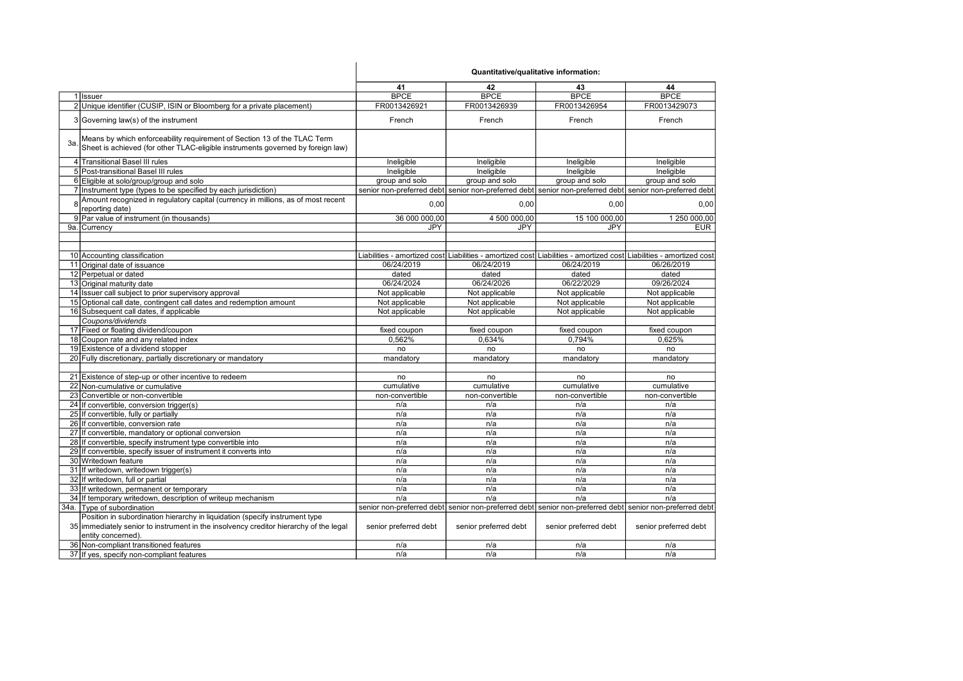|     |                                                                                                                                                                                            | 41                    | 42                                                                                                                  | 43                    | 44                    |
|-----|--------------------------------------------------------------------------------------------------------------------------------------------------------------------------------------------|-----------------------|---------------------------------------------------------------------------------------------------------------------|-----------------------|-----------------------|
|     | 1 Issuer                                                                                                                                                                                   | <b>BPCE</b>           | <b>BPCE</b>                                                                                                         | <b>BPCE</b>           | <b>BPCE</b>           |
|     | 2 Unique identifier (CUSIP, ISIN or Bloomberg for a private placement)                                                                                                                     | FR0013426921          | FR0013426939                                                                                                        | FR0013426954          | FR0013429073          |
|     | 3 Governing law(s) of the instrument                                                                                                                                                       | French                | French                                                                                                              | French                | French                |
| За. | Means by which enforceability requirement of Section 13 of the TLAC Term<br>Sheet is achieved (for other TLAC-eligible instruments governed by foreign law)                                |                       |                                                                                                                     |                       |                       |
|     | 4 Transitional Basel III rules                                                                                                                                                             | Ineligible            | Ineligible                                                                                                          | Ineligible            | Ineligible            |
|     | 5 Post-transitional Basel III rules                                                                                                                                                        | Ineligible            | Ineligible                                                                                                          | Ineligible            | Ineligible            |
|     | 6 Eligible at solo/group/group and solo                                                                                                                                                    | group and solo        | group and solo                                                                                                      | group and solo        | group and solo        |
|     | 7 Instrument type (types to be specified by each jurisdiction)                                                                                                                             |                       | senior non-preferred debt  senior non-preferred debt  senior non-preferred debt  senior non-preferred debt          |                       |                       |
|     | Amount recognized in regulatory capital (currency in millions, as of most recent<br>reporting date)                                                                                        | 0,00                  | 0,00                                                                                                                | 0,00                  | 0,00                  |
|     | 9 Par value of instrument (in thousands)                                                                                                                                                   | 36 000 000,00         | 4 500 000,00                                                                                                        | 15 100 000,00         | 1 250 000,00          |
|     | 9a. Currency                                                                                                                                                                               | JPY                   | <b>JPY</b>                                                                                                          | <b>JPY</b>            | <b>EUR</b>            |
|     |                                                                                                                                                                                            |                       |                                                                                                                     |                       |                       |
|     |                                                                                                                                                                                            |                       |                                                                                                                     |                       |                       |
|     | 10 Accounting classification                                                                                                                                                               |                       | Liabilities - amortized cost Liabilities - amortized cost Liabilities - amortized cost Liabilities - amortized cost |                       |                       |
|     | 11 Original date of issuance                                                                                                                                                               | 06/24/2019            | 06/24/2019                                                                                                          | 06/24/2019            | 06/26/2019            |
|     | 12 Perpetual or dated                                                                                                                                                                      | dated                 | dated                                                                                                               | dated                 | dated                 |
|     | 13 Original maturity date                                                                                                                                                                  | 06/24/2024            | 06/24/2026                                                                                                          | 06/22/2029            | 09/26/2024            |
|     | 14 Issuer call subject to prior supervisory approval                                                                                                                                       | Not applicable        | Not applicable                                                                                                      | Not applicable        | Not applicable        |
|     | 15 Optional call date, contingent call dates and redemption amount                                                                                                                         | Not applicable        | Not applicable                                                                                                      | Not applicable        | Not applicable        |
|     | 16 Subsequent call dates, if applicable                                                                                                                                                    | Not applicable        | Not applicable                                                                                                      | Not applicable        | Not applicable        |
|     | Coupons/dividends                                                                                                                                                                          |                       |                                                                                                                     |                       |                       |
|     | 17 Fixed or floating dividend/coupon                                                                                                                                                       | fixed coupon          | fixed coupon                                                                                                        | fixed coupon          | fixed coupon          |
|     | 18 Coupon rate and any related index                                                                                                                                                       | 0,562%                | 0,634%                                                                                                              | 0,794%                | 0.625%                |
|     | 19 Existence of a dividend stopper                                                                                                                                                         | no                    | no                                                                                                                  | no                    | no                    |
|     | 20 Fully discretionary, partially discretionary or mandatory                                                                                                                               | mandatory             | mandatory                                                                                                           | mandatory             | mandatory             |
|     |                                                                                                                                                                                            |                       |                                                                                                                     |                       |                       |
|     | 21 Existence of step-up or other incentive to redeem                                                                                                                                       | no                    | no                                                                                                                  | no                    | no                    |
|     | 22 Non-cumulative or cumulative                                                                                                                                                            | cumulative            | cumulative                                                                                                          | cumulative            | cumulative            |
|     | 23 Convertible or non-convertible                                                                                                                                                          | non-convertible       | non-convertible                                                                                                     | non-convertible       | non-convertible       |
|     | 24 If convertible, conversion trigger(s)                                                                                                                                                   | n/a                   | n/a                                                                                                                 | n/a                   | n/a                   |
|     | 25 If convertible, fully or partially                                                                                                                                                      | n/a                   | n/a                                                                                                                 | n/a                   | n/a                   |
|     | 26 If convertible, conversion rate                                                                                                                                                         | n/a                   | n/a                                                                                                                 | n/a                   | n/a                   |
|     | 27 If convertible, mandatory or optional conversion                                                                                                                                        | n/a                   | n/a                                                                                                                 | n/a                   | n/a                   |
|     | 28 If convertible, specify instrument type convertible into                                                                                                                                | n/a                   | n/a                                                                                                                 | n/a                   | n/a                   |
|     | 29 If convertible, specify issuer of instrument it converts into                                                                                                                           | n/a                   | n/a                                                                                                                 | n/a                   | n/a                   |
|     | 30 Writedown feature                                                                                                                                                                       | n/a                   | n/a                                                                                                                 | n/a                   | n/a                   |
|     | 31 If writedown, writedown trigger(s)                                                                                                                                                      | n/a                   | n/a                                                                                                                 | n/a                   | n/a                   |
|     | 32 If writedown, full or partial                                                                                                                                                           | n/a                   | n/a                                                                                                                 | n/a                   | n/a                   |
|     | 33 If writedown, permanent or temporary                                                                                                                                                    | n/a                   | n/a                                                                                                                 | n/a                   | n/a                   |
|     | 34 If temporary writedown, description of writeup mechanism                                                                                                                                | n/a                   | n/a                                                                                                                 | n/a                   | n/a                   |
|     | 34a. Type of subordination                                                                                                                                                                 |                       | senior non-preferred debt  senior non-preferred debt  senior non-preferred debt  senior non-preferred debt          |                       |                       |
|     | Position in subordination hierarchy in liquidation (specify instrument type<br>35 immediately senior to instrument in the insolvency creditor hierarchy of the legal<br>entity concerned). | senior preferred debt | senior preferred debt                                                                                               | senior preferred debt | senior preferred debt |
|     | 36 Non-compliant transitioned features                                                                                                                                                     | n/a                   | n/a                                                                                                                 | n/a                   | n/a                   |
|     | 37 If yes, specify non-compliant features                                                                                                                                                  | n/a                   | n/a                                                                                                                 | n/a                   | n/a                   |
|     |                                                                                                                                                                                            |                       |                                                                                                                     |                       |                       |

Quantitative/qualitative information: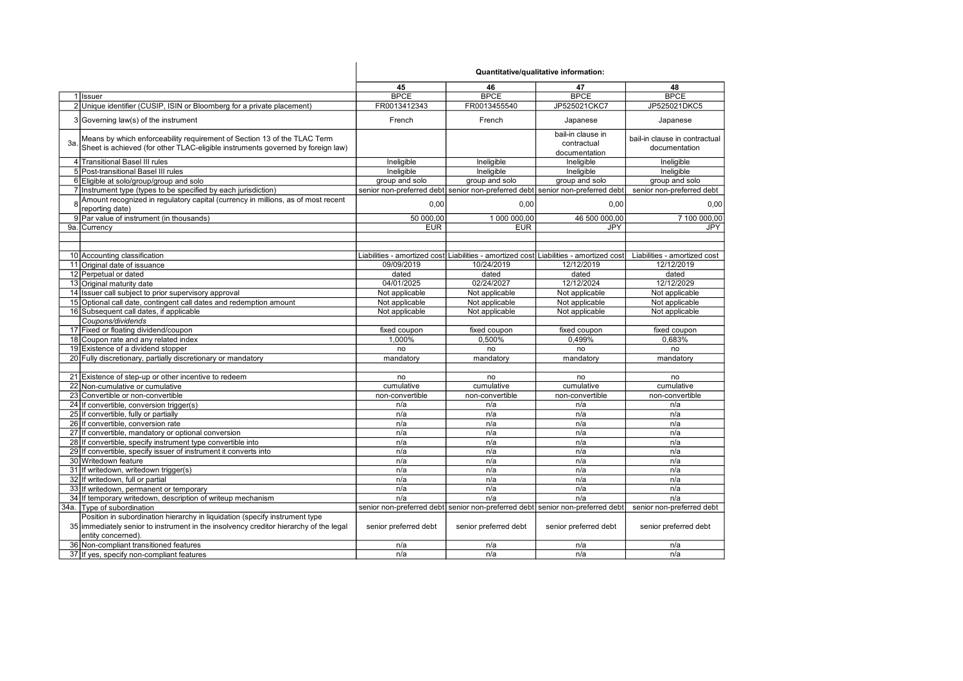| Quantitative/qualitative information: |  |
|---------------------------------------|--|
|---------------------------------------|--|

|                                                                                       | 45                    | 46                    | 47                                                                                     | 48                            |
|---------------------------------------------------------------------------------------|-----------------------|-----------------------|----------------------------------------------------------------------------------------|-------------------------------|
| 1 Issuer                                                                              | <b>BPCE</b>           | <b>BPCE</b>           | <b>BPCE</b>                                                                            | <b>BPCE</b>                   |
| 2 Unique identifier (CUSIP, ISIN or Bloomberg for a private placement)                | FR0013412343          | FR0013455540          | JP525021CKC7                                                                           | JP525021DKC5                  |
| 3 Governing law(s) of the instrument                                                  | French                | French                | Japanese                                                                               | Japanese                      |
| Means by which enforceability requirement of Section 13 of the TLAC Term              |                       |                       | bail-in clause in                                                                      | bail-in clause in contractual |
| 3a<br>Sheet is achieved (for other TLAC-eligible instruments governed by foreign law) |                       |                       | contractual                                                                            | documentation                 |
|                                                                                       |                       |                       | documentation                                                                          |                               |
| 4 Transitional Basel III rules                                                        | Ineligible            | Ineligible            | Ineligible                                                                             | Ineligible                    |
| 5 Post-transitional Basel III rules                                                   | Ineligible            | Ineligible            | Ineligible                                                                             | Ineligible                    |
| 6 Eligible at solo/group/group and solo                                               | group and solo        | group and solo        | group and solo                                                                         | group and solo                |
| 7 Instrument type (types to be specified by each jurisdiction)                        |                       |                       | senior non-preferred debt senior non-preferred debt senior non-preferred debt          | senior non-preferred debt     |
| Amount recognized in regulatory capital (currency in millions, as of most recent      | 0,00                  | 0,00                  | 0,00                                                                                   | 0,00                          |
| reporting date)                                                                       |                       |                       |                                                                                        |                               |
| 9 Par value of instrument (in thousands)                                              | 50 000,00             | 1 000 000,00          | 46 500 000,00                                                                          | 7 100 000,00                  |
| 9a. Currency                                                                          | <b>EUR</b>            | <b>EUR</b>            | JPY                                                                                    | <b>JPY</b>                    |
|                                                                                       |                       |                       |                                                                                        |                               |
|                                                                                       |                       |                       |                                                                                        |                               |
| 10 Accounting classification                                                          |                       |                       | Liabilities - amortized cost Liabilities - amortized cost Liabilities - amortized cost | Liabilities - amortized cost  |
| 11 Original date of issuance                                                          | 09/09/2019            | 10/24/2019            | 12/12/2019                                                                             | 12/12/2019                    |
| 12 Perpetual or dated                                                                 | dated                 | dated                 | dated                                                                                  | dated                         |
| 13 Original maturity date                                                             | 04/01/2025            | 02/24/2027            | 12/12/2024                                                                             | 12/12/2029                    |
| 14 Issuer call subject to prior supervisory approval                                  | Not applicable        | Not applicable        | Not applicable                                                                         | Not applicable                |
| 15 Optional call date, contingent call dates and redemption amount                    | Not applicable        | Not applicable        | Not applicable                                                                         | Not applicable                |
| 16 Subsequent call dates, if applicable                                               | Not applicable        | Not applicable        | Not applicable                                                                         | Not applicable                |
| Coupons/dividends                                                                     |                       |                       |                                                                                        |                               |
| 17 Fixed or floating dividend/coupon                                                  | fixed coupon          | fixed coupon          | fixed coupon                                                                           | fixed coupon                  |
| 18 Coupon rate and any related index                                                  | 1.000%                | 0,500%                | 0,499%                                                                                 | 0.683%                        |
| 19 Existence of a dividend stopper                                                    | no                    | no                    | no                                                                                     | no                            |
| 20 Fully discretionary, partially discretionary or mandatory                          | mandatory             | mandatory             | mandatory                                                                              | mandatory                     |
|                                                                                       |                       |                       |                                                                                        |                               |
| 21 Existence of step-up or other incentive to redeem                                  | no                    | no                    | no                                                                                     | no                            |
| 22 Non-cumulative or cumulative                                                       | cumulative            | cumulative            | cumulative                                                                             | cumulative                    |
| 23 Convertible or non-convertible                                                     | non-convertible       | non-convertible       | non-convertible                                                                        | non-convertible               |
| 24 If convertible, conversion trigger(s)                                              | n/a                   | n/a                   | n/a                                                                                    | n/a                           |
| 25 If convertible, fully or partially                                                 | n/a                   | n/a                   | n/a                                                                                    | n/a                           |
| 26 If convertible, conversion rate                                                    | n/a                   | n/a                   | n/a                                                                                    | n/a                           |
| 27 If convertible, mandatory or optional conversion                                   | n/a                   | n/a                   | n/a                                                                                    | n/a                           |
| 28 If convertible, specify instrument type convertible into                           | n/a                   | n/a                   | n/a                                                                                    | n/a                           |
| 29 If convertible, specify issuer of instrument it converts into                      | n/a                   | n/a                   | n/a                                                                                    | n/a                           |
| 30 Writedown feature                                                                  | n/a                   | n/a                   | n/a                                                                                    | n/a                           |
| 31 If writedown, writedown trigger(s)                                                 | n/a                   | n/a                   | n/a                                                                                    | n/a                           |
| 32 If writedown, full or partial                                                      | n/a                   | n/a                   | n/a                                                                                    | n/a                           |
| 33 If writedown, permanent or temporary                                               | n/a                   | n/a                   | n/a                                                                                    | n/a                           |
| 34 If temporary writedown, description of writeup mechanism                           | n/a                   | n/a                   | n/a                                                                                    | n/a                           |
| 34a. Type of subordination                                                            |                       |                       | senior non-preferred debt senior non-preferred debt senior non-preferred debt          | senior non-preferred debt     |
| Position in subordination hierarchy in liquidation (specify instrument type           |                       |                       |                                                                                        |                               |
| 35 immediately senior to instrument in the insolvency creditor hierarchy of the legal | senior preferred debt | senior preferred debt | senior preferred debt                                                                  | senior preferred debt         |
| entity concerned).                                                                    |                       |                       |                                                                                        |                               |
| 36 Non-compliant transitioned features                                                | n/a                   | n/a                   | n/a                                                                                    | n/a                           |
| 37 If yes, specify non-compliant features                                             | n/a                   | n/a                   | n/a                                                                                    | n/a                           |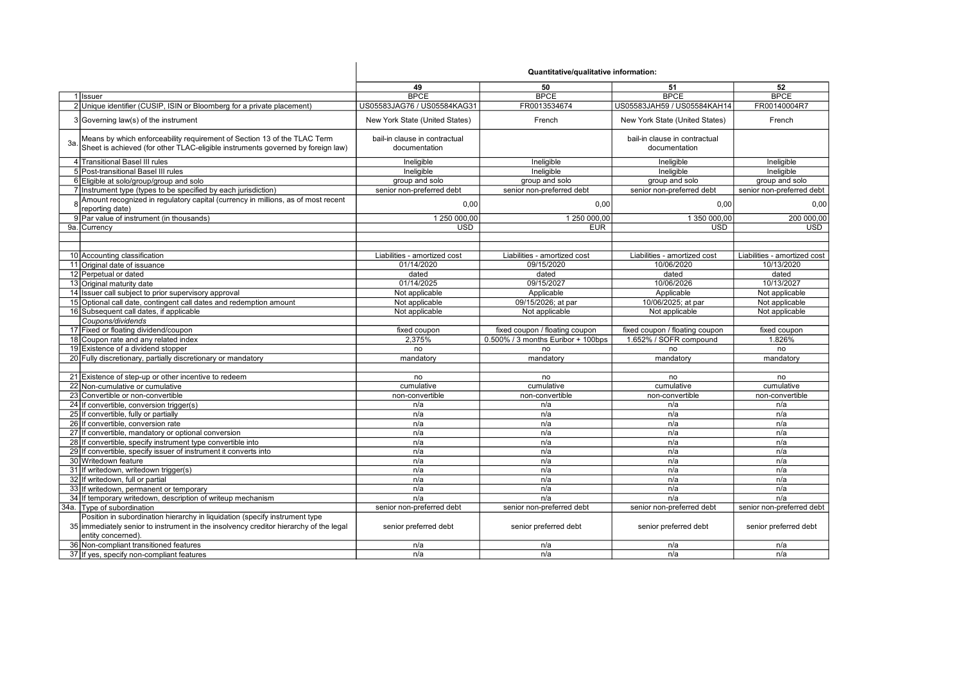|     |                                                                                                                                                             | Quantitative/qualitative information:          |                                    |                                                |                              |
|-----|-------------------------------------------------------------------------------------------------------------------------------------------------------------|------------------------------------------------|------------------------------------|------------------------------------------------|------------------------------|
|     |                                                                                                                                                             | 49                                             | 50                                 | 51                                             | 52                           |
|     | 1 Issuer                                                                                                                                                    | <b>BPCE</b>                                    | <b>BPCE</b>                        | <b>BPCE</b>                                    | <b>BPCE</b>                  |
|     | 2 Unique identifier (CUSIP, ISIN or Bloomberg for a private placement)                                                                                      | US05583JAG76 / US05584KAG31                    | FR0013534674                       | US05583JAH59 / US05584KAH14                    | FR00140004R7                 |
|     | 3 Governing law(s) of the instrument                                                                                                                        | New York State (United States)                 | French                             | New York State (United States)                 | French                       |
| За. | Means by which enforceability requirement of Section 13 of the TLAC Term<br>Sheet is achieved (for other TLAC-eligible instruments governed by foreign law) | bail-in clause in contractual<br>documentation |                                    | bail-in clause in contractual<br>documentation |                              |
|     | 4 Transitional Basel III rules                                                                                                                              | Ineligible                                     | Ineligible                         | Ineligible                                     | Ineligible                   |
|     | 5 Post-transitional Basel III rules                                                                                                                         | Ineligible                                     | Ineligible                         | Ineligible                                     | Ineligible                   |
|     | 6 Eligible at solo/group/group and solo                                                                                                                     | group and solo                                 | group and solo                     | group and solo                                 | group and solo               |
|     | 7 Instrument type (types to be specified by each jurisdiction)                                                                                              | senior non-preferred debt                      | senior non-preferred debt          | senior non-preferred debt                      | senior non-preferred debt    |
|     | 8 Amount recognized in regulatory capital (currency in millions, as of most recent                                                                          | 0,00                                           | 0,00                               | 0,00                                           | 0,00                         |
|     | reporting date)                                                                                                                                             |                                                |                                    |                                                |                              |
|     | 9 Par value of instrument (in thousands)                                                                                                                    | 1 250 000,00                                   | 1 250 000,00                       | 1 350 000,00                                   | 200 000.00                   |
|     | 9a. Currency                                                                                                                                                | <b>USD</b>                                     | <b>EUR</b>                         | <b>USD</b>                                     | <b>USD</b>                   |
|     |                                                                                                                                                             |                                                |                                    |                                                |                              |
|     |                                                                                                                                                             |                                                |                                    |                                                |                              |
|     | 10 Accounting classification                                                                                                                                | Liabilities - amortized cost                   | Liabilities - amortized cost       | Liabilities - amortized cost                   | Liabilities - amortized cost |
|     | 11 Original date of issuance                                                                                                                                | 01/14/2020                                     | 09/15/2020                         | 10/06/2020                                     | 10/13/2020                   |
|     | 12 Perpetual or dated                                                                                                                                       | dated                                          | dated                              | dated                                          | dated                        |
|     | 13 Original maturity date                                                                                                                                   | 01/14/2025                                     | 09/15/2027                         | 10/06/2026                                     | 10/13/2027                   |
|     | 14 Issuer call subject to prior supervisory approval                                                                                                        | Not applicable                                 | Applicable                         | Applicable                                     | Not applicable               |
|     | 15 Optional call date, contingent call dates and redemption amount                                                                                          | Not applicable                                 | 09/15/2026; at par                 | 10/06/2025; at par                             | Not applicable               |
|     | 16 Subsequent call dates, if applicable                                                                                                                     | Not applicable                                 | Not applicable                     | Not applicable                                 | Not applicable               |
|     | Coupons/dividends                                                                                                                                           |                                                |                                    |                                                |                              |
|     | 17 Fixed or floating dividend/coupon                                                                                                                        | fixed coupon                                   | fixed coupon / floating coupon     | fixed coupon / floating coupon                 | fixed coupon                 |
|     | 18 Coupon rate and any related index                                                                                                                        | 2.375%                                         | 0.500% / 3 months Euribor + 100bps | 1.652% / SOFR compound                         | 1.826%                       |
|     | 19 Existence of a dividend stopper                                                                                                                          | no                                             | no                                 | no                                             | no                           |
|     | 20 Fully discretionary, partially discretionary or mandatory                                                                                                | mandatory                                      | mandatory                          | mandatory                                      | mandatory                    |
|     |                                                                                                                                                             |                                                |                                    |                                                |                              |
|     | 21 Existence of step-up or other incentive to redeem                                                                                                        | no                                             | no                                 | no                                             | no                           |
|     | 22 Non-cumulative or cumulative                                                                                                                             | cumulative                                     | cumulative                         | cumulative                                     | cumulative                   |
|     | 23 Convertible or non-convertible                                                                                                                           | non-convertible                                | non-convertible                    | non-convertible                                | non-convertible              |
|     | 24 If convertible, conversion trigger(s)                                                                                                                    | n/a                                            | n/a                                | n/a                                            | n/a                          |
|     | 25 If convertible, fully or partially                                                                                                                       | n/a                                            | n/a                                | n/a                                            | n/a                          |
|     | 26 If convertible, conversion rate                                                                                                                          | n/a                                            | n/a                                | n/a                                            | n/a                          |
|     | 27 If convertible, mandatory or optional conversion                                                                                                         | n/a                                            | n/a                                | n/a                                            | n/a                          |
|     | 28 If convertible, specify instrument type convertible into                                                                                                 | n/a                                            | n/a                                | n/a                                            | n/a                          |
|     | 29 If convertible, specify issuer of instrument it converts into                                                                                            | n/a                                            | n/a                                | n/a                                            | n/a                          |
|     | 30 Writedown feature                                                                                                                                        | n/a                                            | n/a                                | n/a                                            | n/a                          |
|     | 31 If writedown, writedown trigger(s)                                                                                                                       | n/a                                            | n/a                                | n/a                                            | n/a                          |
|     | 32 If writedown, full or partial                                                                                                                            | n/a                                            | n/a                                | n/a                                            | n/a                          |
|     | 33 If writedown, permanent or temporary                                                                                                                     | n/a                                            | n/a                                | n/a                                            | n/a                          |
|     | 34 If temporary writedown, description of writeup mechanism                                                                                                 | n/a                                            | n/a                                | n/a                                            | n/a                          |
|     | 34a. Type of subordination                                                                                                                                  | senior non-preferred debt                      | senior non-preferred debt          | senior non-preferred debt                      | senior non-preferred debt    |
|     | Position in subordination hierarchy in liquidation (specify instrument type                                                                                 |                                                |                                    |                                                |                              |
|     | 35 immediately senior to instrument in the insolvency creditor hierarchy of the legal                                                                       | senior preferred debt                          | senior preferred debt              | senior preferred debt                          | senior preferred debt        |
|     | entity concerned).                                                                                                                                          |                                                |                                    |                                                |                              |
|     | 36 Non-compliant transitioned features                                                                                                                      | n/a                                            | n/a                                | n/a                                            | n/a                          |
|     | 37 If yes, specify non-compliant features                                                                                                                   | n/a                                            | n/a                                | n/a                                            | n/a                          |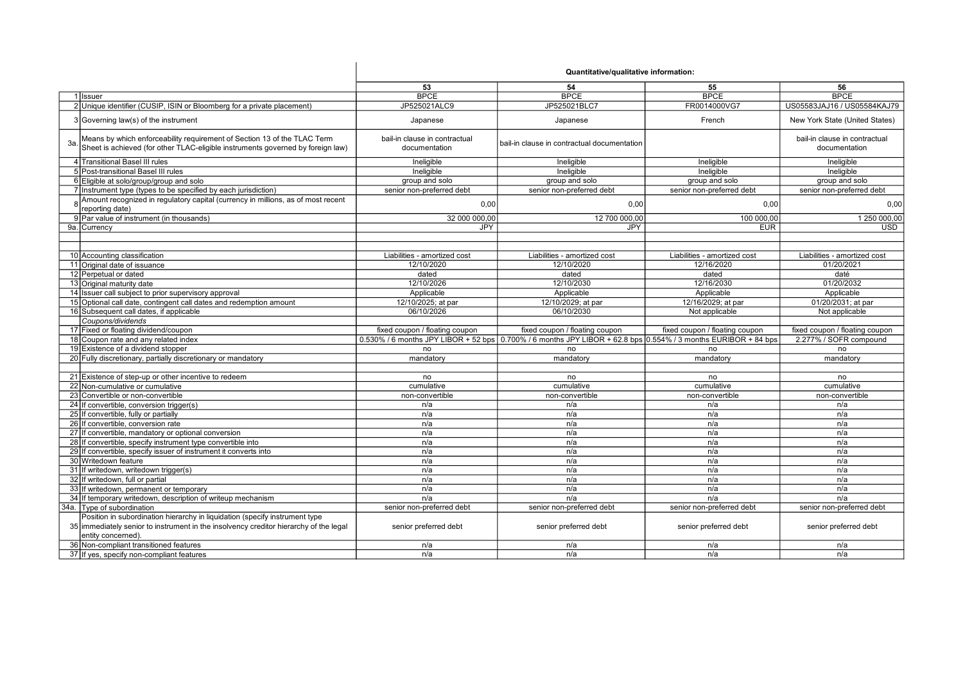|     |                                                                                                                                                             | Quantitative/qualitative information:          |                                                                                                                |                                |                                                |
|-----|-------------------------------------------------------------------------------------------------------------------------------------------------------------|------------------------------------------------|----------------------------------------------------------------------------------------------------------------|--------------------------------|------------------------------------------------|
|     |                                                                                                                                                             | 53                                             | 54                                                                                                             | 55                             | 56                                             |
|     | 1 Issuer                                                                                                                                                    | <b>BPCE</b>                                    | <b>BPCE</b>                                                                                                    | <b>BPCE</b>                    | <b>BPCE</b>                                    |
|     | 2 Unique identifier (CUSIP, ISIN or Bloomberg for a private placement)                                                                                      | JP525021ALC9                                   | JP525021BLC7                                                                                                   | FR0014000VG7                   | US05583JAJ16 / US05584KAJ79                    |
|     | 3 Governing law(s) of the instrument                                                                                                                        | Japanese                                       | Japanese                                                                                                       | French                         | New York State (United States)                 |
| 3а. | Means by which enforceability requirement of Section 13 of the TLAC Term<br>Sheet is achieved (for other TLAC-eligible instruments governed by foreign law) | bail-in clause in contractual<br>documentation | bail-in clause in contractual documentation                                                                    |                                | bail-in clause in contractual<br>documentation |
|     | 4 Transitional Basel III rules                                                                                                                              | Ineligible                                     | Ineligible                                                                                                     | Ineligible                     | Ineligible                                     |
|     | 5 Post-transitional Basel III rules                                                                                                                         | Ineligible                                     | Ineligible                                                                                                     | Ineligible                     | Ineligible                                     |
|     | 6 Eligible at solo/group/group and solo                                                                                                                     | group and solo                                 | group and solo                                                                                                 | group and solo                 | group and solo                                 |
|     | 7 Instrument type (types to be specified by each jurisdiction)                                                                                              | senior non-preferred debt                      | senior non-preferred debt                                                                                      | senior non-preferred debt      | senior non-preferred debt                      |
|     | Amount recognized in regulatory capital (currency in millions, as of most recent<br>reporting date)                                                         | 0.00                                           | 0.00                                                                                                           | 0,00                           | 0.00                                           |
|     | 9 Par value of instrument (in thousands)                                                                                                                    | 32 000 000,00                                  | 12 700 000,00                                                                                                  | 100 000,00                     | 1 250 000.00                                   |
|     | 9a. Currency                                                                                                                                                | <b>JPY</b>                                     | <b>JPY</b>                                                                                                     | <b>EUR</b>                     | <b>USD</b>                                     |
|     |                                                                                                                                                             |                                                |                                                                                                                |                                |                                                |
|     |                                                                                                                                                             |                                                |                                                                                                                |                                |                                                |
|     | 10 Accounting classification                                                                                                                                | Liabilities - amortized cost                   | Liabilities - amortized cost                                                                                   | Liabilities - amortized cost   | Liabilities - amortized cost                   |
|     | 11 Original date of issuance                                                                                                                                | 12/10/2020                                     | 12/10/2020                                                                                                     | 12/16/2020                     | 01/20/2021                                     |
|     | 12 Perpetual or dated                                                                                                                                       | dated                                          | dated                                                                                                          | dated                          | daté                                           |
|     | 13 Original maturity date                                                                                                                                   | 12/10/2026                                     | 12/10/2030                                                                                                     | 12/16/2030                     | 01/20/2032                                     |
|     | 14 Issuer call subject to prior supervisory approval                                                                                                        | Applicable                                     | Applicable                                                                                                     | Applicable                     | Applicable                                     |
|     | 15 Optional call date, contingent call dates and redemption amount                                                                                          | 12/10/2025; at par                             | 12/10/2029; at par                                                                                             | 12/16/2029; at par             | 01/20/2031; at par                             |
|     | 16 Subsequent call dates, if applicable                                                                                                                     | 06/10/2026                                     | 06/10/2030                                                                                                     | Not applicable                 | Not applicable                                 |
|     | Coupons/dividends                                                                                                                                           |                                                |                                                                                                                |                                |                                                |
|     | 17 Fixed or floating dividend/coupon                                                                                                                        | fixed coupon / floating coupon                 | fixed coupon / floating coupon                                                                                 | fixed coupon / floating coupon | fixed coupon / floating coupon                 |
|     | 18 Coupon rate and any related index                                                                                                                        |                                                | 0.530% / 6 months JPY LIBOR + 52 bps 0.700% / 6 months JPY LIBOR + 62.8 bps 0.554% / 3 months EURIBOR + 84 bps |                                | 2.277% / SOFR compound                         |
|     | 19 Existence of a dividend stopper                                                                                                                          | no                                             | no                                                                                                             | no                             | no                                             |
|     | 20 Fully discretionary, partially discretionary or mandatory                                                                                                | mandatory                                      | mandatory                                                                                                      | mandatory                      | mandatory                                      |
|     |                                                                                                                                                             |                                                |                                                                                                                |                                |                                                |
|     | 21 Existence of step-up or other incentive to redeem                                                                                                        | no                                             | no                                                                                                             | no                             | no                                             |
|     | 22 Non-cumulative or cumulative                                                                                                                             | cumulative                                     | cumulative                                                                                                     | cumulative                     | cumulative                                     |
|     | 23 Convertible or non-convertible                                                                                                                           | non-convertible                                | non-convertible                                                                                                | non-convertible                | non-convertible                                |
|     | 24 If convertible, conversion trigger(s)                                                                                                                    | n/a                                            | n/a                                                                                                            | n/a                            | n/a                                            |
|     | 25 If convertible, fully or partially                                                                                                                       | n/a                                            | n/a                                                                                                            | n/a                            | n/a                                            |
|     | 26 If convertible, conversion rate                                                                                                                          | n/a                                            | n/a                                                                                                            | n/a                            | n/a                                            |
|     | 27 If convertible, mandatory or optional conversion                                                                                                         | n/a                                            | n/a                                                                                                            | n/a                            | n/a                                            |
|     | 28 If convertible, specify instrument type convertible into                                                                                                 | n/a                                            | n/a                                                                                                            | n/a                            | n/a                                            |
|     | 29 If convertible, specify issuer of instrument it converts into                                                                                            | n/a                                            | n/a                                                                                                            | n/a                            | n/a                                            |
|     | 30 Writedown feature                                                                                                                                        | n/a                                            | n/a                                                                                                            | n/a                            | n/a                                            |
|     | 31 If writedown, writedown trigger(s)                                                                                                                       | n/a                                            | n/a                                                                                                            | n/a                            | n/a                                            |
|     | 32 If writedown, full or partial                                                                                                                            | n/a                                            | n/a                                                                                                            | n/a                            | n/a                                            |
|     | 33 If writedown, permanent or temporary                                                                                                                     | n/a                                            | n/a                                                                                                            | n/a                            | n/a                                            |
|     | 34 If temporary writedown, description of writeup mechanism                                                                                                 | n/a                                            | n/a                                                                                                            | n/a                            | n/a                                            |
|     | 34a. Type of subordination                                                                                                                                  | senior non-preferred debt                      | senior non-preferred debt                                                                                      | senior non-preferred debt      | senior non-preferred debt                      |
|     | Position in subordination hierarchy in liquidation (specify instrument type                                                                                 |                                                |                                                                                                                |                                |                                                |
|     | 35 immediately senior to instrument in the insolvency creditor hierarchy of the legal<br>entity concerned).                                                 | senior preferred debt                          | senior preferred debt                                                                                          | senior preferred debt          | senior preferred debt                          |
|     | 36 Non-compliant transitioned features                                                                                                                      | n/a                                            | n/a                                                                                                            | n/a                            | n/a                                            |
|     | 37 If yes, specify non-compliant features                                                                                                                   | n/a                                            | n/a                                                                                                            | n/a                            | n/a                                            |